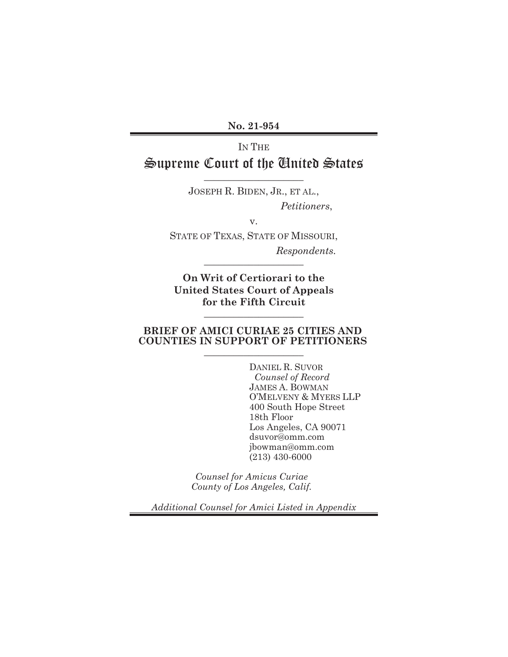**No. 21-954** 

# IN THE Supreme Court of the United States

\_\_\_\_\_\_\_\_\_\_\_\_\_\_\_\_\_\_\_\_

JOSEPH R. BIDEN, JR., ET AL., *Petitioners*,

v.

STATE OF TEXAS, STATE OF MISSOURI,

 *Respondents.* \_\_\_\_\_\_\_\_\_\_\_\_\_\_\_\_\_\_\_\_

**On Writ of Certiorari to the United States Court of Appeals for the Fifth Circuit** 

 $\_$ 

#### **BRIEF OF AMICI CURIAE 25 CITIES AND COUNTIES IN SUPPORT OF PETITIONERS**   $\_$

DANIEL R. SUVOR *Counsel of Record*  JAMES A. BOWMAN O'MELVENY & MYERS LLP 400 South Hope Street 18th Floor Los Angeles, CA 90071 dsuvor@omm.com jbowman@omm.com (213) 430-6000

*Counsel for Amicus Curiae County of Los Angeles, Calif.* 

*Additional Counsel for Amici Listed in Appendix*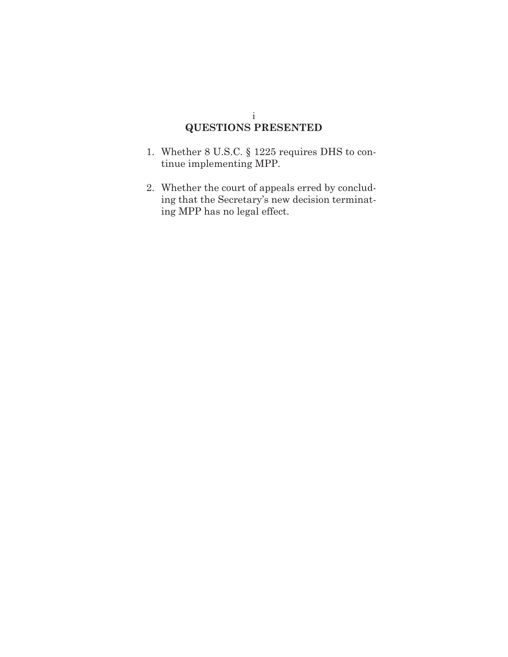### i **QUESTIONS PRESENTED**

- 1. Whether 8 U.S.C. § 1225 requires DHS to continue implementing MPP.
- 2. Whether the court of appeals erred by concluding that the Secretary's new decision terminating MPP has no legal effect.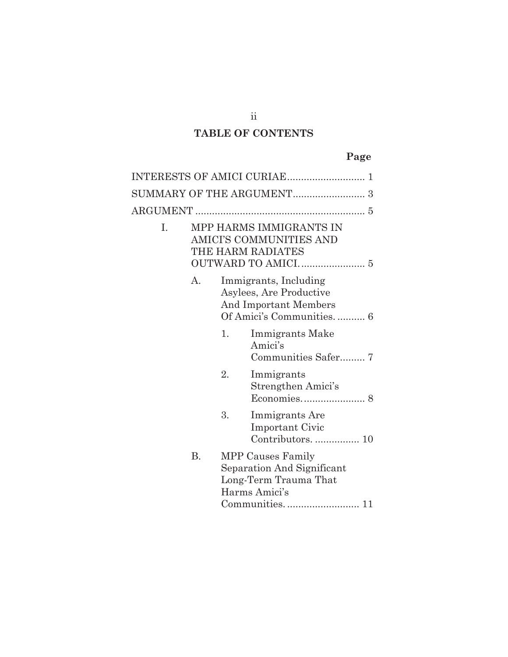# **TABLE OF CONTENTS**

# **Page**

| I. |           |    | MPP HARMS IMMIGRANTS IN<br>AMICI'S COMMUNITIES AND<br>THE HARM RADIATES                               |
|----|-----------|----|-------------------------------------------------------------------------------------------------------|
|    | А.        |    | Immigrants, Including<br>Asylees, Are Productive<br>And Important Members<br>Of Amici's Communities 6 |
|    |           | 1. | Immigrants Make<br>Amici's                                                                            |
|    |           | 2. | Immigrants<br>Strengthen Amici's                                                                      |
|    |           | 3. | Immigrants Are<br><b>Important Civic</b>                                                              |
|    | <b>B.</b> |    | MPP Causes Family<br>Separation And Significant<br>Long-Term Trauma That<br>Harms Amici's             |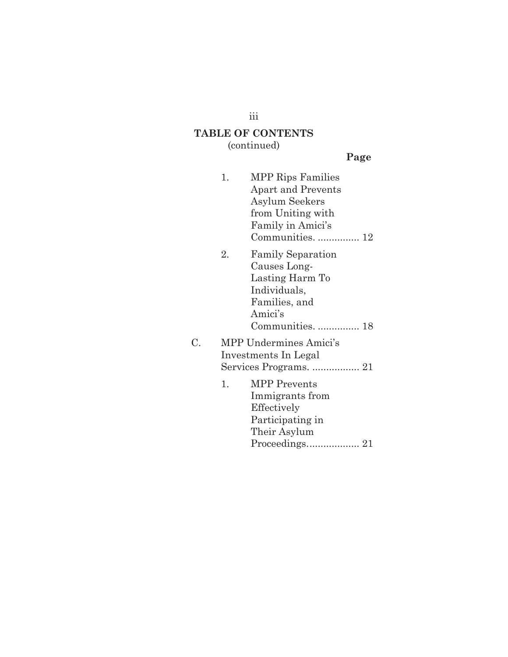iii

# **TABLE OF CONTENTS**

(continued)

**Page**

|    | 1. | <b>MPP Rips Families</b>  |
|----|----|---------------------------|
|    |    | <b>Apart and Prevents</b> |
|    |    | Asylum Seekers            |
|    |    | from Uniting with         |
|    |    | Family in Amici's         |
|    |    | Communities.  12          |
|    | 2. | <b>Family Separation</b>  |
|    |    | Causes Long-              |
|    |    | Lasting Harm To           |
|    |    | Individuals,              |
|    |    | Families, and             |
|    |    | Amici's                   |
|    |    | Communities.  18          |
| C. |    | MPP Undermines Amici's    |
|    |    | Investments In Legal      |
|    |    | Services Programs.  21    |
|    | 1. | <b>MPP</b> Prevents       |
|    |    | Immigrants from           |
|    |    | Effectively               |
|    |    | Participating in          |
|    |    | Their Asylum              |
|    |    | Proceedings 21            |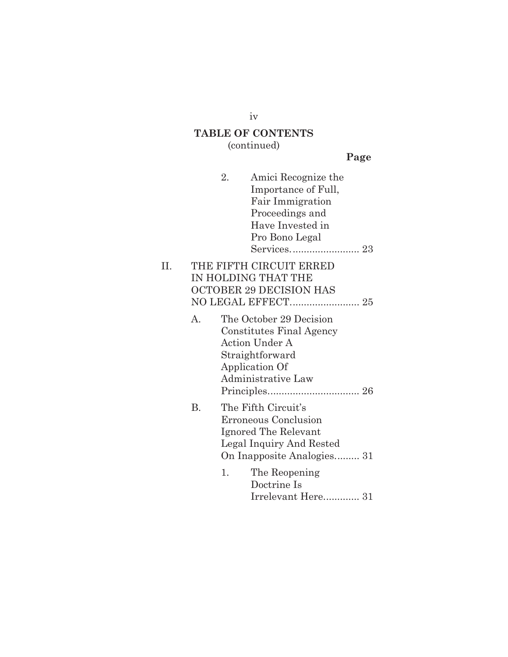# **TABLE OF CONTENTS**

(continued)

**Page**

|    |                | 2. | Amici Recognize the<br>Importance of Full,<br>Fair Immigration<br>Proceedings and<br>Have Invested in<br>Pro Bono Legal          |  |
|----|----------------|----|----------------------------------------------------------------------------------------------------------------------------------|--|
| Π. |                |    | THE FIFTH CIRCUIT ERRED<br>IN HOLDING THAT THE<br><b>OCTOBER 29 DECISION HAS</b>                                                 |  |
|    | $\mathbf{A}$ . |    | The October 29 Decision<br>Constitutes Final Agency<br>Action Under A<br>Straightforward<br>Application Of<br>Administrative Law |  |
|    | Β.             |    | The Fifth Circuit's<br>Erroneous Conclusion<br>Ignored The Relevant<br>Legal Inquiry And Rested<br>On Inapposite Analogies 31    |  |
|    |                | 1. | The Reopening<br>Doctrine Is<br>Irrelevant Here 31                                                                               |  |

iv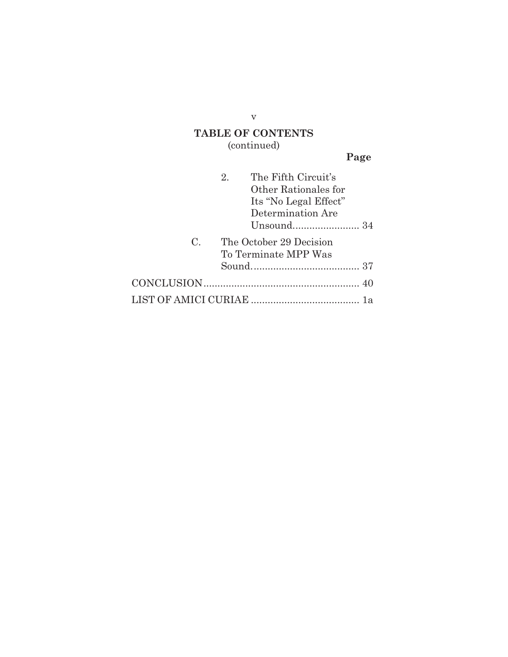# **TABLE OF CONTENTS**

(continued)

**Page**

|             | $2_{-}$ | The Fifth Circuit's     |
|-------------|---------|-------------------------|
|             |         | Other Rationales for    |
|             |         | Its "No Legal Effect"   |
|             |         | Determination Are       |
|             |         |                         |
| $C_{\cdot}$ |         | The October 29 Decision |
|             |         | To Terminate MPP Was    |
|             |         |                         |
|             |         |                         |
|             |         |                         |

v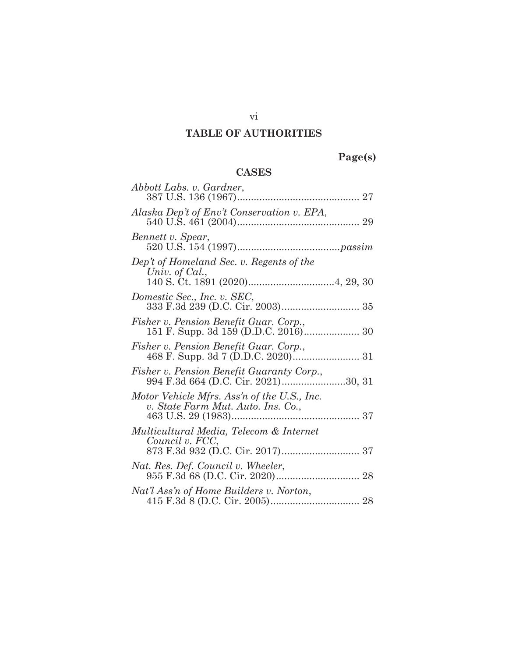# **TABLE OF AUTHORITIES**

# **Page(s)**

# **CASES**

| Abbott Labs. v. Gardner,                                                          |
|-----------------------------------------------------------------------------------|
| Alaska Dep't of Env't Conservation v. EPA,                                        |
| Bennett v. Spear,                                                                 |
| Dep't of Homeland Sec. v. Regents of the<br>Univ. of Cal.,                        |
| Domestic Sec., Inc. v. SEC,                                                       |
| Fisher v. Pension Benefit Guar. Corp.,                                            |
| Fisher v. Pension Benefit Guar. Corp.,                                            |
| Fisher v. Pension Benefit Guaranty Corp.,<br>994 F.3d 664 (D.C. Cir. 2021)30, 31  |
| Motor Vehicle Mfrs. Ass'n of the U.S., Inc.<br>v. State Farm Mut. Auto. Ins. Co., |
| Multicultural Media, Telecom & Internet<br>Council v. FCC,                        |
| Nat. Res. Def. Council v. Wheeler,                                                |
| Nat'l Ass'n of Home Builders v. Norton,                                           |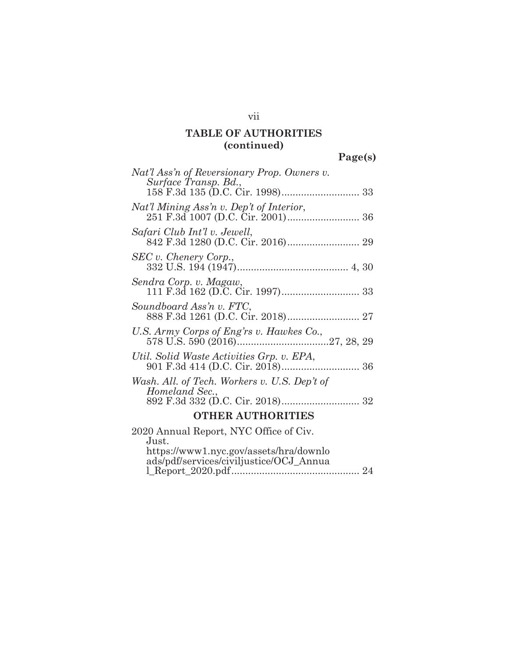**Page(s)** 

| Nat'l Ass'n of Reversionary Prop. Owners v.                                                |
|--------------------------------------------------------------------------------------------|
| Surface Transp. Bd.,                                                                       |
| Nat'l Mining Ass'n v. Dep't of Interior,                                                   |
| Safari Club Int'l v. Jewell,                                                               |
| SEC v. Chenery Corp.,                                                                      |
| Sendra Corp. v. Magaw,                                                                     |
| Soundboard Ass'n v. FTC,                                                                   |
| U.S. Army Corps of Eng'rs v. Hawkes Co.,                                                   |
| Util. Solid Waste Activities Grp. v. EPA,                                                  |
| Wash. All. of Tech. Workers v. U.S. Dep't of<br>Homeland Sec.,                             |
| <b>OTHER AUTHORITIES</b>                                                                   |
| 2020 Annual Report, NYC Office of Civ.                                                     |
| Just.<br>https://www1.nyc.gov/assets/hra/downlo<br>ads/pdf/services/civiljustice/OCJ_Annua |

vii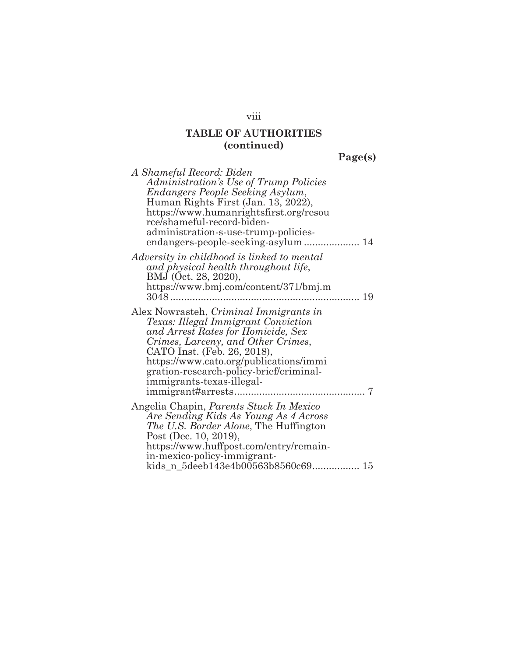**Page(s)** 

| A Shameful Record: Biden<br>Administration's Use of Trump Policies<br>Endangers People Seeking Asylum,<br>Human Rights First (Jan. 13, 2022),<br>https://www.humanrightsfirst.org/resou<br>rce/shameful-record-biden-<br>administration-s-use-trump-policies-                                              |  |
|------------------------------------------------------------------------------------------------------------------------------------------------------------------------------------------------------------------------------------------------------------------------------------------------------------|--|
| Adversity in childhood is linked to mental<br>and physical health throughout life,<br>BMJ (Oct. 28, 2020),<br>https://www.bmj.com/content/371/bmj.m<br>19                                                                                                                                                  |  |
| Alex Nowrasteh, Criminal Immigrants in<br>Texas: Illegal Immigrant Conviction<br>and Arrest Rates for Homicide, Sex<br>Crimes, Larceny, and Other Crimes,<br>CATO Inst. (Feb. 26, 2018),<br>https://www.cato.org/publications/immi<br>gration-research-policy-brief/criminal-<br>immigrants-texas-illegal- |  |
| Angelia Chapin, <i>Parents Stuck In Mexico</i><br>Are Sending Kids As Young As 4 Across<br><i>The U.S. Border Alone</i> , The Huffington<br>Post (Dec. 10, 2019),<br>https://www.huffpost.com/entry/remain-<br>in-mexico-policy-immigrant-<br>kids_n_5deeb143e4b00563b8560c69 15                           |  |

viii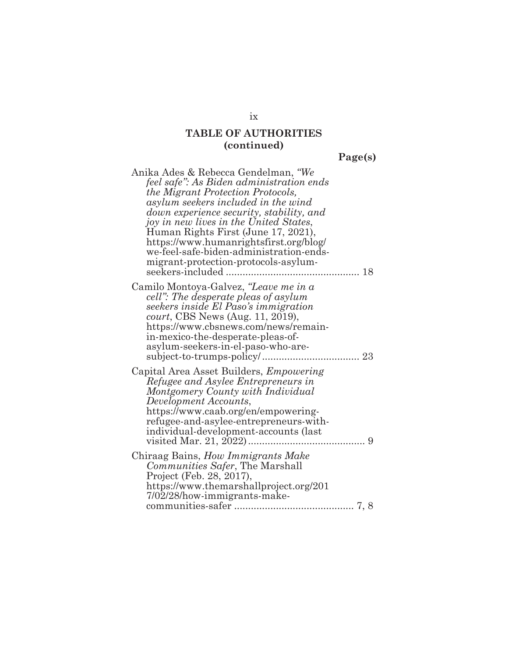**Page(s)** 

| Anika Ades & Rebecca Gendelman, "We<br>feel safe": As Biden administration ends<br>the Migrant Protection Protocols,<br>asylum seekers included in the wind<br>down experience security, stability, and<br>joy in new lives in the United States,<br>Human Rights First (June 17, 2021),<br>https://www.humanrightsfirst.org/blog/<br>we-feel-safe-biden-administration-ends-<br>migrant-protection-protocols-asylum-<br>seekers-included<br>18 |
|-------------------------------------------------------------------------------------------------------------------------------------------------------------------------------------------------------------------------------------------------------------------------------------------------------------------------------------------------------------------------------------------------------------------------------------------------|
| Camilo Montoya-Galvez, "Leave me in a<br>cell": The desperate pleas of asylum<br>seekers inside El Paso's immigration<br>court, CBS News (Aug. 11, 2019),<br>https://www.cbsnews.com/news/remain-<br>in-mexico-the-desperate-pleas-of-<br>asylum-seekers-in-el-paso-who-are-                                                                                                                                                                    |
| Capital Area Asset Builders, <i>Empowering</i><br>Refugee and Asylee Entrepreneurs in<br>Montgomery County with Individual<br>Development Accounts,<br>https://www.caab.org/en/empowering-<br>refugee-and-asylee-entrepreneurs-with-<br>individual-development-accounts (last<br>9                                                                                                                                                              |
| Chiraag Bains, How Immigrants Make<br>Communities Safer, The Marshall<br>Project (Feb. 28, 2017),<br>https://www.themarshallproject.org/201<br>7/02/28/how-immigrants-make-                                                                                                                                                                                                                                                                     |

ix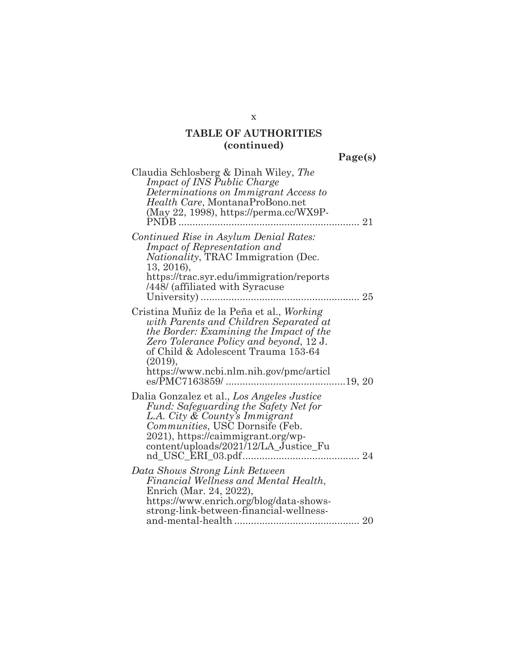**Page(s)** 

| Claudia Schlosberg & Dinah Wiley, The<br><i>Impact of INS Public Charge</i><br>Determinations on Immigrant Access to<br>Health Care, MontanaProBono.net<br>(May 22, 1998), https://perma.cc/WX9P-<br>PNDB<br>21                                                        |
|------------------------------------------------------------------------------------------------------------------------------------------------------------------------------------------------------------------------------------------------------------------------|
| Continued Rise in Asylum Denial Rates:<br><i>Impact of Representation and</i><br><i>Nationality</i> , TRAC Immigration (Dec.<br>13, 2016),<br>https://trac.syr.edu/immigration/reports<br>/448/ (affiliated with Syracuse                                              |
| Cristina Muñiz de la Peña et al., Working<br>with Parents and Children Separated at<br>the Border: Examining the Impact of the<br>Zero Tolerance Policy and beyond, 12 J.<br>of Child & Adolescent Trauma 153-64<br>(2019),<br>https://www.ncbi.nlm.nih.gov/pmc/articl |
| Dalia Gonzalez et al., Los Angeles Justice<br>Fund: Safeguarding the Safety Net for<br>L.A. City & County's Immigrant<br>Communities, USC Dornsife (Feb.<br>2021), https://caimmigrant.org/wp-<br>content/uploads/2021/12/LA_Justice_Fu                                |
| Data Shows Strong Link Between<br>Financial Wellness and Mental Health,<br>Enrich (Mar. 24, 2022),<br>https://www.enrich.org/blog/data-shows-<br>strong-link-between-financial-wellness-                                                                               |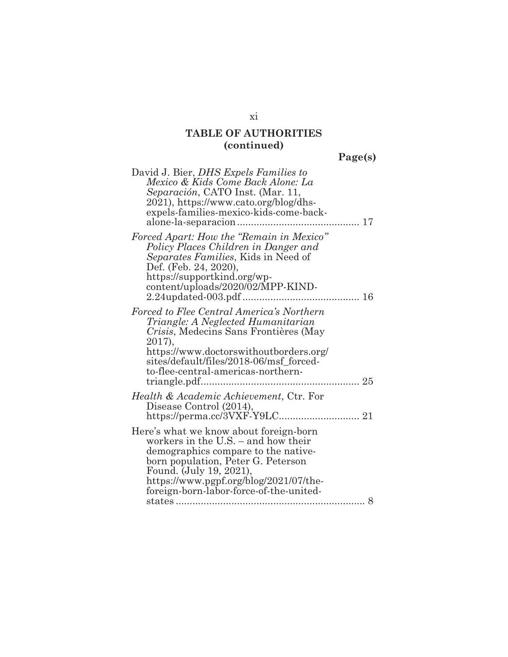**Page(s)** 

| David J. Bier, <i>DHS Expels Families to</i><br>Mexico & Kids Come Back Alone: La<br>Separación, CATO Inst. (Mar. 11,<br>2021), https://www.cato.org/blog/dhs-<br>expels-families-mexico-kids-come-back-<br>17                                                                  |
|---------------------------------------------------------------------------------------------------------------------------------------------------------------------------------------------------------------------------------------------------------------------------------|
| Forced Apart: How the "Remain in Mexico"<br>Policy Places Children in Danger and<br>Separates Families, Kids in Need of<br>Def. (Feb. 24, 2020),<br>https://supportkind.org/wp-<br>content/uploads/2020/02/MPP-KIND-<br>$2.24$ updated-003.pdf                                  |
| Forced to Flee Central America's Northern<br>Triangle: A Neglected Humanitarian<br>Crisis, Medecins Sans Frontières (May<br>2017),<br>https://www.doctorswithoutborders.org/<br>sites/default/files/2018-06/msf_forced-<br>to-flee-central-americas-northern-                   |
| Health & Academic Achievement, Ctr. For<br>Disease Control (2014),                                                                                                                                                                                                              |
| Here's what we know about foreign-born<br>workers in the U.S. - and how their<br>demographics compare to the native-<br>born population, Peter G. Peterson<br>Found. (July 19, 2021),<br>https://www.pgpf.org/blog/2021/07/the-<br>foreign-born-labor-force-of-the-united-<br>8 |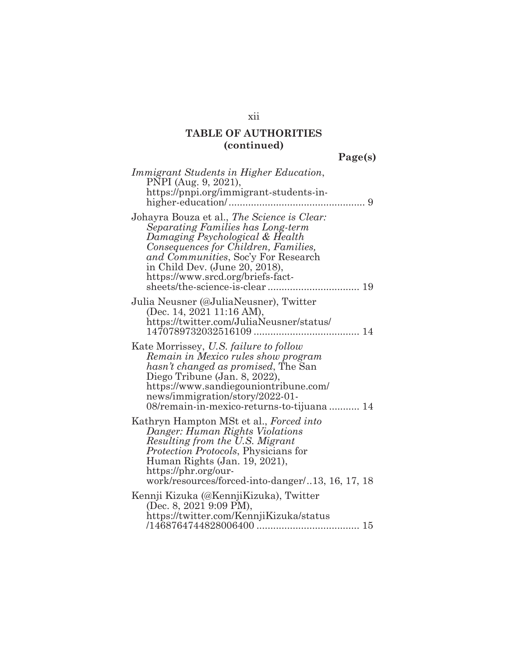|  | c.<br>г. |  |
|--|----------|--|
|  |          |  |

| Immigrant Students in Higher Education,<br>PNPI (Aug. 9, 2021),<br>https://pnpi.org/immigrant-students-in-<br>9                                                                                                                                                                |
|--------------------------------------------------------------------------------------------------------------------------------------------------------------------------------------------------------------------------------------------------------------------------------|
| Johayra Bouza et al., The Science is Clear:<br>Separating Families has Long-term<br>Damaging Psychological & Health<br>Consequences for Children, Families,<br>and Communities, Soc'y For Research<br>in Child Dev. (June 20, 2018),<br>https://www.srcd.org/briefs-fact-      |
| Julia Neusner (@JuliaNeusner), Twitter<br>(Dec. 14, 2021 11:16 AM),<br>https://twitter.com/JuliaNeusner/status/                                                                                                                                                                |
| Kate Morrissey, U.S. failure to follow<br>Remain in Mexico rules show program<br>hasn't changed as promised. The San<br>Diego Tribune (Jan. 8, 2022),<br>https://www.sandiegouniontribune.com/<br>news/immigration/story/2022-01-<br>08/remain-in-mexico-returns-to-tijuana 14 |
| Kathryn Hampton MSt et al., Forced into<br>Danger: Human Rights Violations<br>Resulting from the U.S. Migrant<br>Protection Protocols, Physicians for<br>Human Rights (Jan. 19, 2021),<br>https://phr.org/our-<br>work/resources/forced-into-danger13, 16, 17, 18              |
| Kennji Kizuka (@KennjiKizuka), Twitter<br>(Dec. 8, 2021 9:09 PM),<br>https://twitter.com/KennjiKizuka/status                                                                                                                                                                   |

xii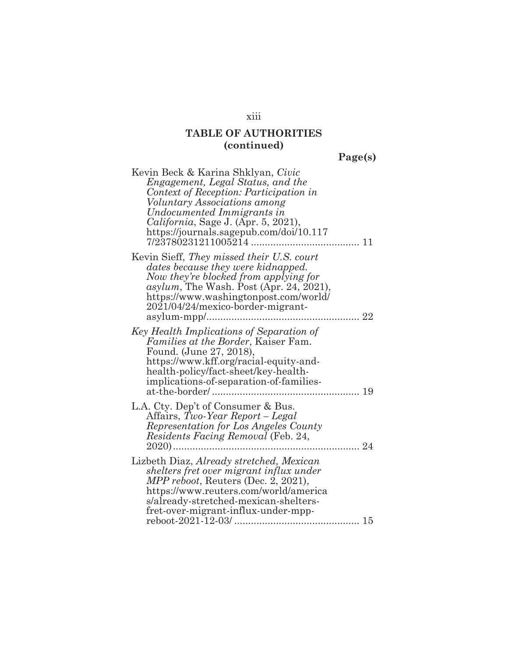**Page(s)** 

| Kevin Beck & Karina Shklyan, Civic<br>Engagement, Legal Status, and the<br>Context of Reception: Participation in<br><i>Voluntary Associations among</i><br>Undocumented Immigrants in<br>California, Sage J. (Apr. 5, 2021),<br>https://journals.sagepub.com/doi/10.117 |  |
|--------------------------------------------------------------------------------------------------------------------------------------------------------------------------------------------------------------------------------------------------------------------------|--|
| Kevin Sieff, They missed their U.S. court<br>dates because they were kidnapped.<br>Now they're blocked from applying for<br>asylum, The Wash. Post (Apr. 24, 2021),<br>https://www.washingtonpost.com/world/<br>2021/04/24/mexico-border-migrant-                        |  |
| Key Health Implications of Separation of<br><i>Families at the Border</i> , Kaiser Fam.<br>Found. (June 27, 2018),<br>https://www.kff.org/racial-equity-and-<br>health-policy/fact-sheet/key-health-<br>implications-of-separation-of-families-<br>19<br>.               |  |
| L.A. Cty. Dep't of Consumer & Bus.<br>Affairs, Two-Year Report – Legal<br>Representation for Los Angeles County<br><i>Residents Facing Removal</i> (Feb. 24,<br>24                                                                                                       |  |
| Lizbeth Diaz, Already stretched, Mexican<br>shelters fret over migrant influx under<br>MPP reboot, Reuters (Dec. 2, 2021),<br>https://www.reuters.com/world/america<br>s/already-stretched-mexican-shelters-<br>fret-over-migrant-influx-under-mpp-                      |  |

xiii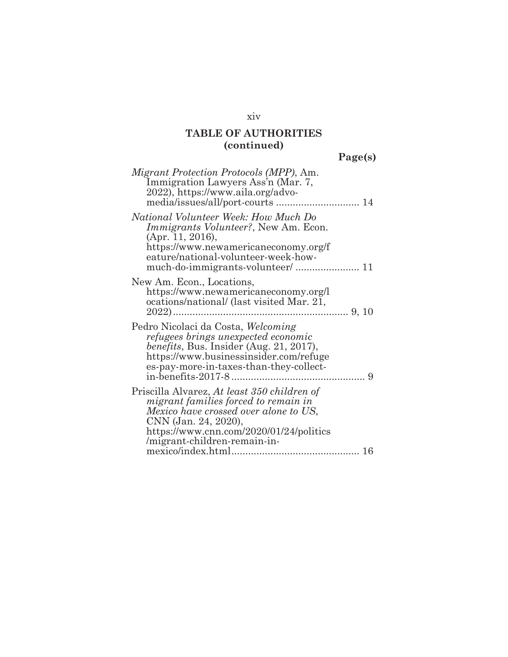**Page(s)** 

| Migrant Protection Protocols (MPP), Am.<br>Immigration Lawyers Ass'n (Mar. 7,<br>2022), https://www.aila.org/advo-                                                                                                               |   |
|----------------------------------------------------------------------------------------------------------------------------------------------------------------------------------------------------------------------------------|---|
| National Volunteer Week: How Much Do<br><i>Immigrants Volunteer?</i> , New Am. Econ.<br>(Apr. 11, 2016),<br>https://www.newamericaneconomy.org/f<br>eature/national-volunteer-week-how-                                          |   |
| New Am. Econ., Locations,<br>https://www.newamericaneconomy.org/l<br>ocations/national/ (last visited Mar. 21,                                                                                                                   |   |
| Pedro Nicolaci da Costa, Welcoming<br>refugees brings unexpected economic<br>benefits, Bus. Insider (Aug. 21, 2017),<br>https://www.businessinsider.com/refuge<br>es-pay-more-in-taxes-than-they-collect-<br>in-benefits-2017-8. | 9 |
| Priscilla Alvarez, At least 350 children of<br>migrant families forced to remain in<br>Mexico have crossed over alone to US,<br>CNN (Jan. 24, 2020),<br>https://www.cnn.com/2020/01/24/politics<br>/migrant-children-remain-in-  |   |
|                                                                                                                                                                                                                                  |   |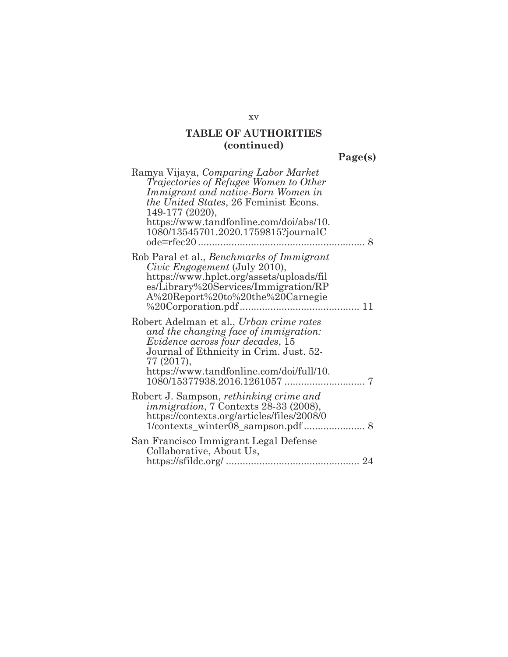**Page(s)** 

| Ramya Vijaya, Comparing Labor Market<br>Trajectories of Refugee Women to Other<br>Immigrant and native-Born Women in<br>the United States, 26 Feminist Econs.<br>149-177 (2020),                                           |
|----------------------------------------------------------------------------------------------------------------------------------------------------------------------------------------------------------------------------|
| https://www.tandfonline.com/doi/abs/10.<br>1080/13545701.2020.1759815?journalC<br>8                                                                                                                                        |
| Rob Paral et al., Benchmarks of Immigrant<br>Civic Engagement (July 2010),<br>https://www.hplct.org/assets/uploads/fil<br>es/Library%20Services/Immigration/RP<br>A%20Report%20to%20the%20Carnegie                         |
| Robert Adelman et al., Urban crime rates<br>and the changing face of immigration:<br>Evidence across four decades, 15<br>Journal of Ethnicity in Crim. Just. 52-<br>77 (2017),<br>https://www.tandfonline.com/doi/full/10. |
| Robert J. Sampson, rethinking crime and<br><i>immigration</i> , 7 Contexts 28-33 (2008),<br>https://contexts.org/articles/files/2008/0                                                                                     |
| San Francisco Immigrant Legal Defense<br>Collaborative, About Us,                                                                                                                                                          |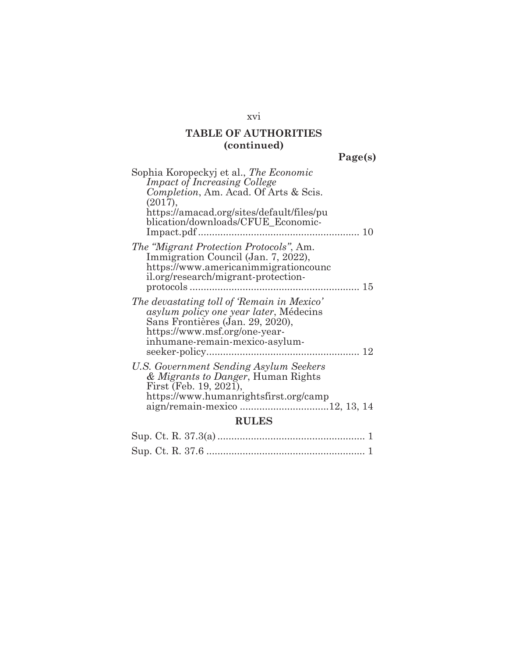**Page(s)** 

| Sophia Koropeckyj et al., The Economic<br><b>Impact of Increasing College</b><br>Completion, Am. Acad. Of Arts & Scis.<br>(2017),                                                                                    |  |  |
|----------------------------------------------------------------------------------------------------------------------------------------------------------------------------------------------------------------------|--|--|
| https://amacad.org/sites/default/files/pu<br>blication/downloads/CFUE_Economic-<br>10                                                                                                                                |  |  |
| <i>The "Migrant Protection Protocols", Am.</i><br>Immigration Council (Jan. 7, 2022),<br>https://www.americanimmigrationcounc<br>il.org/research/migrant-protection-                                                 |  |  |
| The devastating toll of 'Remain in Mexico'<br><i>asylum policy one year later</i> , Médecins<br>Sans Frontières (Jan. 29, 2020),<br>https://www.msf.org/one-year-<br>inhumane-remain-mexico-asylum-<br>seeker-policy |  |  |
| U.S. Government Sending Asylum Seekers<br>& Migrants to Danger, Human Rights<br>First (Feb. 19, 2021),<br>https://www.humanrightsfirst.org/camp                                                                      |  |  |
| <b>RULES</b>                                                                                                                                                                                                         |  |  |
|                                                                                                                                                                                                                      |  |  |

### xvi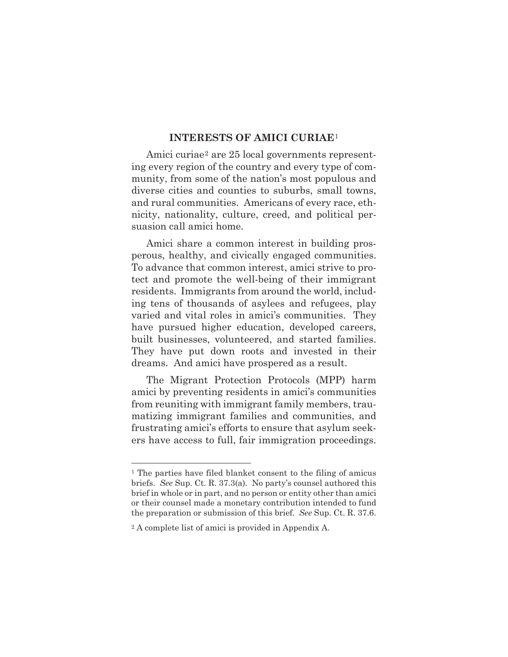#### **INTERESTS OF AMICI CURIAE**<sup>1</sup>

Amici curiae<sup>2</sup> are 25 local governments representing every region of the country and every type of community, from some of the nation's most populous and diverse cities and counties to suburbs, small towns, and rural communities. Americans of every race, ethnicity, nationality, culture, creed, and political persuasion call amici home.

Amici share a common interest in building prosperous, healthy, and civically engaged communities. To advance that common interest, amici strive to protect and promote the well-being of their immigrant residents. Immigrants from around the world, including tens of thousands of asylees and refugees, play varied and vital roles in amici's communities. They have pursued higher education, developed careers, built businesses, volunteered, and started families. They have put down roots and invested in their dreams. And amici have prospered as a result.

The Migrant Protection Protocols (MPP) harm amici by preventing residents in amici's communities from reuniting with immigrant family members, traumatizing immigrant families and communities, and frustrating amici's efforts to ensure that asylum seekers have access to full, fair immigration proceedings.

<sup>1</sup> The parties have filed blanket consent to the filing of amicus briefs. *See* Sup. Ct. R. 37.3(a). No party's counsel authored this brief in whole or in part, and no person or entity other than amici or their counsel made a monetary contribution intended to fund the preparation or submission of this brief. *See* Sup. Ct. R. 37.6.

<sup>2</sup> A complete list of amici is provided in Appendix A.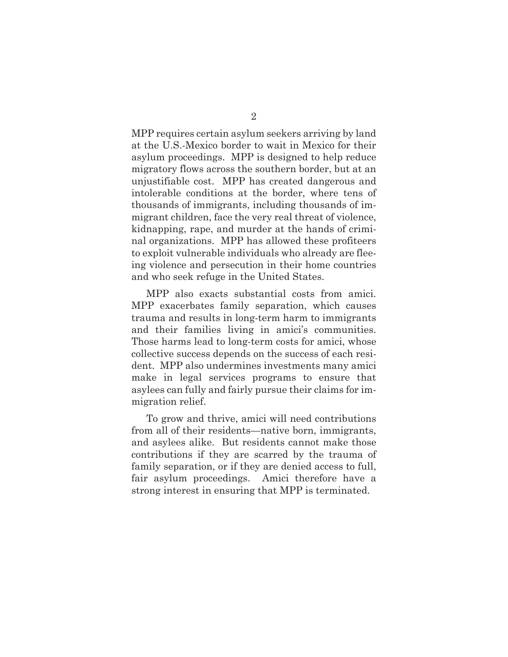MPP requires certain asylum seekers arriving by land at the U.S.-Mexico border to wait in Mexico for their asylum proceedings. MPP is designed to help reduce migratory flows across the southern border, but at an unjustifiable cost. MPP has created dangerous and intolerable conditions at the border, where tens of thousands of immigrants, including thousands of immigrant children, face the very real threat of violence, kidnapping, rape, and murder at the hands of criminal organizations. MPP has allowed these profiteers to exploit vulnerable individuals who already are fleeing violence and persecution in their home countries and who seek refuge in the United States.

MPP also exacts substantial costs from amici. MPP exacerbates family separation, which causes trauma and results in long-term harm to immigrants and their families living in amici's communities. Those harms lead to long-term costs for amici, whose collective success depends on the success of each resident. MPP also undermines investments many amici make in legal services programs to ensure that asylees can fully and fairly pursue their claims for immigration relief.

To grow and thrive, amici will need contributions from all of their residents—native born, immigrants, and asylees alike. But residents cannot make those contributions if they are scarred by the trauma of family separation, or if they are denied access to full, fair asylum proceedings. Amici therefore have a strong interest in ensuring that MPP is terminated.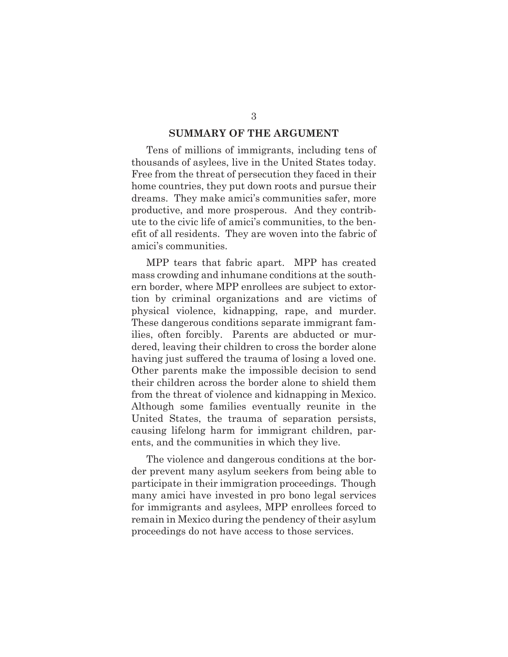#### **SUMMARY OF THE ARGUMENT**

Tens of millions of immigrants, including tens of thousands of asylees, live in the United States today. Free from the threat of persecution they faced in their home countries, they put down roots and pursue their dreams. They make amici's communities safer, more productive, and more prosperous. And they contribute to the civic life of amici's communities, to the benefit of all residents. They are woven into the fabric of amici's communities.

MPP tears that fabric apart. MPP has created mass crowding and inhumane conditions at the southern border, where MPP enrollees are subject to extortion by criminal organizations and are victims of physical violence, kidnapping, rape, and murder. These dangerous conditions separate immigrant families, often forcibly. Parents are abducted or murdered, leaving their children to cross the border alone having just suffered the trauma of losing a loved one. Other parents make the impossible decision to send their children across the border alone to shield them from the threat of violence and kidnapping in Mexico. Although some families eventually reunite in the United States, the trauma of separation persists, causing lifelong harm for immigrant children, parents, and the communities in which they live.

The violence and dangerous conditions at the border prevent many asylum seekers from being able to participate in their immigration proceedings. Though many amici have invested in pro bono legal services for immigrants and asylees, MPP enrollees forced to remain in Mexico during the pendency of their asylum proceedings do not have access to those services.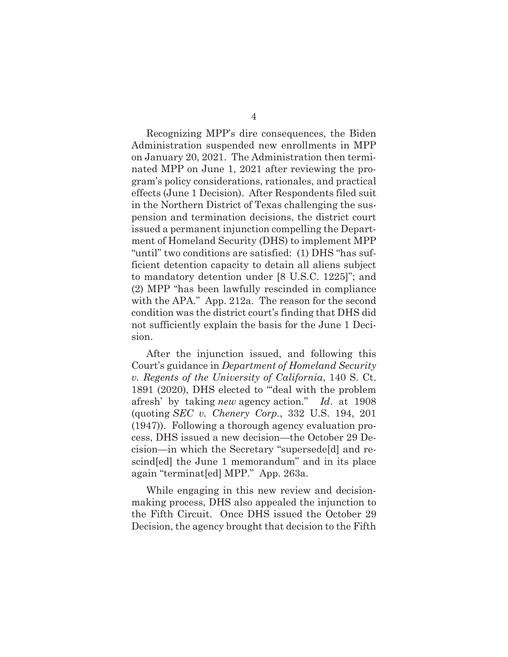Recognizing MPP's dire consequences, the Biden Administration suspended new enrollments in MPP on January 20, 2021. The Administration then terminated MPP on June 1, 2021 after reviewing the program's policy considerations, rationales, and practical effects (June 1 Decision). After Respondents filed suit in the Northern District of Texas challenging the suspension and termination decisions, the district court issued a permanent injunction compelling the Department of Homeland Security (DHS) to implement MPP "until" two conditions are satisfied: (1) DHS "has sufficient detention capacity to detain all aliens subject to mandatory detention under [8 U.S.C. 1225]"; and (2) MPP "has been lawfully rescinded in compliance with the APA." App. 212a. The reason for the second condition was the district court's finding that DHS did

After the injunction issued, and following this Court's guidance in *Department of Homeland Security v. Regents of the University of California*, 140 S. Ct. 1891 (2020), DHS elected to "'deal with the problem afresh' by taking *new* agency action." *Id*. at 1908 (quoting *SEC v. Chenery Corp.*, 332 U.S. 194, 201 (1947)). Following a thorough agency evaluation process, DHS issued a new decision—the October 29 Decision—in which the Secretary "supersede[d] and rescind[ed] the June 1 memorandum" and in its place again "terminat[ed] MPP." App. 263a.

not sufficiently explain the basis for the June 1 Deci-

sion.

While engaging in this new review and decisionmaking process, DHS also appealed the injunction to the Fifth Circuit. Once DHS issued the October 29 Decision, the agency brought that decision to the Fifth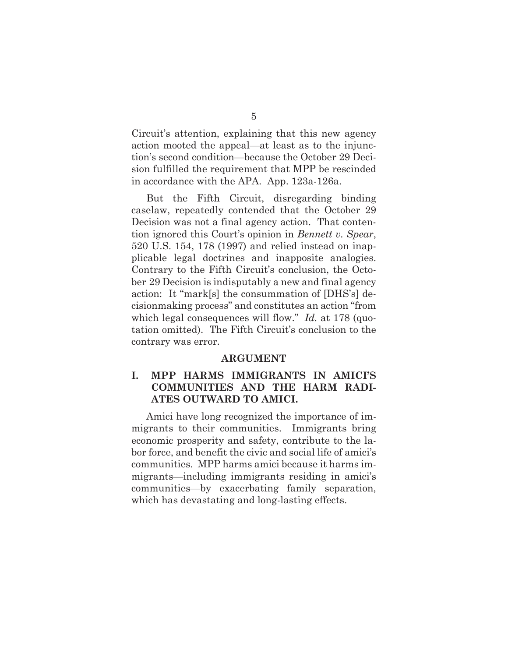Circuit's attention, explaining that this new agency action mooted the appeal—at least as to the injunction's second condition—because the October 29 Decision fulfilled the requirement that MPP be rescinded in accordance with the APA. App. 123a-126a.

But the Fifth Circuit, disregarding binding caselaw, repeatedly contended that the October 29 Decision was not a final agency action. That contention ignored this Court's opinion in *Bennett v. Spear*, 520 U.S. 154, 178 (1997) and relied instead on inapplicable legal doctrines and inapposite analogies. Contrary to the Fifth Circuit's conclusion, the October 29 Decision is indisputably a new and final agency action: It "mark[s] the consummation of [DHS's] decisionmaking process" and constitutes an action "from which legal consequences will flow." *Id.* at 178 (quotation omitted). The Fifth Circuit's conclusion to the contrary was error.

#### **ARGUMENT**

### **I. MPP HARMS IMMIGRANTS IN AMICI'S COMMUNITIES AND THE HARM RADI-ATES OUTWARD TO AMICI.**

Amici have long recognized the importance of immigrants to their communities. Immigrants bring economic prosperity and safety, contribute to the labor force, and benefit the civic and social life of amici's communities. MPP harms amici because it harms immigrants—including immigrants residing in amici's communities—by exacerbating family separation, which has devastating and long-lasting effects.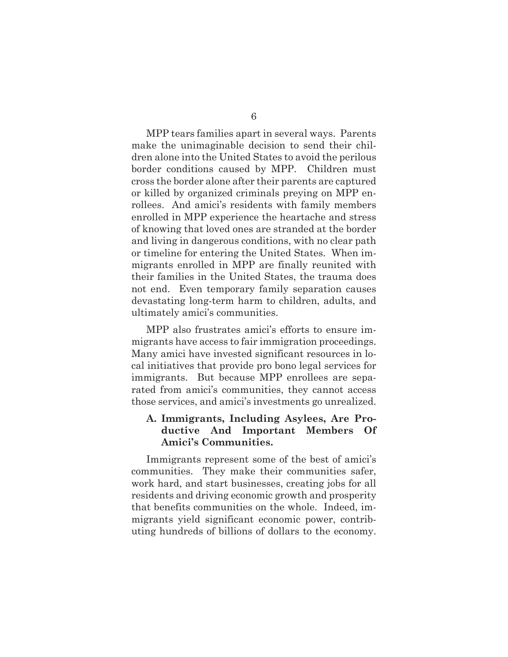MPP tears families apart in several ways. Parents make the unimaginable decision to send their children alone into the United States to avoid the perilous border conditions caused by MPP. Children must cross the border alone after their parents are captured or killed by organized criminals preying on MPP enrollees. And amici's residents with family members enrolled in MPP experience the heartache and stress of knowing that loved ones are stranded at the border and living in dangerous conditions, with no clear path or timeline for entering the United States. When immigrants enrolled in MPP are finally reunited with their families in the United States, the trauma does not end. Even temporary family separation causes devastating long-term harm to children, adults, and ultimately amici's communities.

MPP also frustrates amici's efforts to ensure immigrants have access to fair immigration proceedings. Many amici have invested significant resources in local initiatives that provide pro bono legal services for immigrants. But because MPP enrollees are separated from amici's communities, they cannot access those services, and amici's investments go unrealized.

### **A. Immigrants, Including Asylees, Are Productive And Important Members Of Amici's Communities.**

Immigrants represent some of the best of amici's communities. They make their communities safer, work hard, and start businesses, creating jobs for all residents and driving economic growth and prosperity that benefits communities on the whole. Indeed, immigrants yield significant economic power, contributing hundreds of billions of dollars to the economy.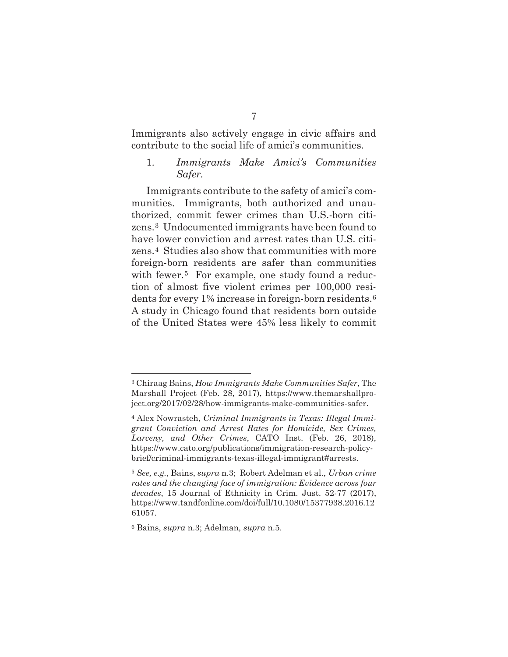Immigrants also actively engage in civic affairs and contribute to the social life of amici's communities.

1. *Immigrants Make Amici's Communities Safer.* 

Immigrants contribute to the safety of amici's communities. Immigrants, both authorized and unauthorized, commit fewer crimes than U.S.-born citizens.3 Undocumented immigrants have been found to have lower conviction and arrest rates than U.S. citizens.4 Studies also show that communities with more foreign-born residents are safer than communities with fewer.<sup>5</sup> For example, one study found a reduction of almost five violent crimes per 100,000 residents for every 1% increase in foreign-born residents.6 A study in Chicago found that residents born outside of the United States were 45% less likely to commit

<sup>3</sup> Chiraag Bains, *How Immigrants Make Communities Safer*, The Marshall Project (Feb. 28, 2017), https://www.themarshallproject.org/2017/02/28/how-immigrants-make-communities-safer.

<sup>4</sup> Alex Nowrasteh, *Criminal Immigrants in Texas: Illegal Immigrant Conviction and Arrest Rates for Homicide, Sex Crimes, Larceny, and Other Crimes*, CATO Inst. (Feb. 26, 2018), https://www.cato.org/publications/immigration-research-policybrief/criminal-immigrants-texas-illegal-immigrant#arrests.

<sup>5</sup> *See, e.g.*, Bains, *supra* n.3; Robert Adelman et al., *Urban crime rates and the changing face of immigration: Evidence across four decades*, 15 Journal of Ethnicity in Crim. Just. 52-77 (2017), https://www.tandfonline.com/doi/full/10.1080/15377938.2016.12 61057.

<sup>6</sup> Bains, *supra* n.3; Adelman*, supra* n.5.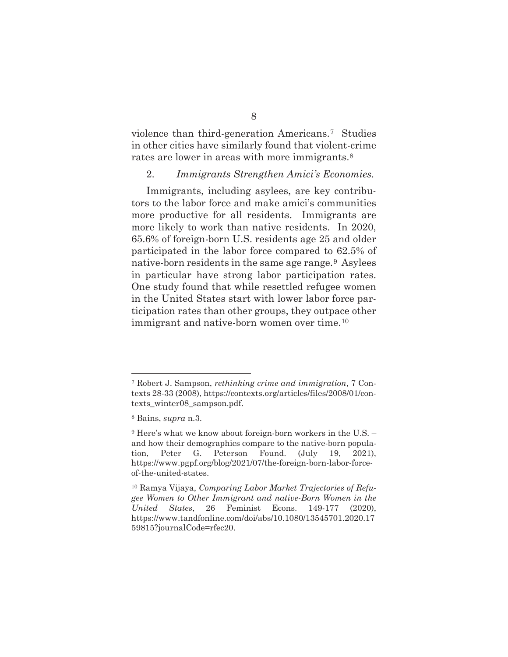violence than third-generation Americans.7 Studies in other cities have similarly found that violent-crime rates are lower in areas with more immigrants.<sup>8</sup>

#### 2. *Immigrants Strengthen Amici's Economies.*

Immigrants, including asylees, are key contributors to the labor force and make amici's communities more productive for all residents. Immigrants are more likely to work than native residents. In 2020, 65.6% of foreign-born U.S. residents age 25 and older participated in the labor force compared to 62.5% of native-born residents in the same age range.<sup>9</sup> Asylees in particular have strong labor participation rates. One study found that while resettled refugee women in the United States start with lower labor force participation rates than other groups, they outpace other immigrant and native-born women over time.<sup>10</sup>

<sup>7</sup> Robert J. Sampson, *rethinking crime and immigration*, 7 Contexts 28-33 (2008), https://contexts.org/articles/files/2008/01/contexts\_winter08\_sampson.pdf.

<sup>8</sup> Bains, *supra* n.3.

<sup>9</sup> Here's what we know about foreign-born workers in the U.S. – and how their demographics compare to the native-born population, Peter G. Peterson Found. (July 19, 2021), https://www.pgpf.org/blog/2021/07/the-foreign-born-labor-forceof-the-united-states.

<sup>10</sup> Ramya Vijaya, *Comparing Labor Market Trajectories of Refugee Women to Other Immigrant and native-Born Women in the United States*, 26 Feminist Econs. 149-177 (2020), https://www.tandfonline.com/doi/abs/10.1080/13545701.2020.17 59815?journalCode=rfec20.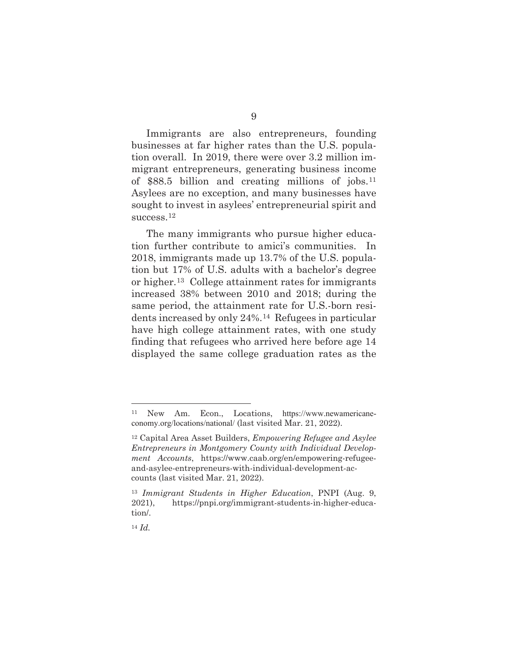Immigrants are also entrepreneurs, founding businesses at far higher rates than the U.S. population overall. In 2019, there were over 3.2 million immigrant entrepreneurs, generating business income of \$88.5 billion and creating millions of jobs.<sup>11</sup> Asylees are no exception, and many businesses have sought to invest in asylees' entrepreneurial spirit and success.<sup>12</sup>

The many immigrants who pursue higher education further contribute to amici's communities. In 2018, immigrants made up 13.7% of the U.S. population but 17% of U.S. adults with a bachelor's degree or higher.13 College attainment rates for immigrants increased 38% between 2010 and 2018; during the same period, the attainment rate for U.S.-born residents increased by only 24%.14 Refugees in particular have high college attainment rates, with one study finding that refugees who arrived here before age 14 displayed the same college graduation rates as the

<sup>11</sup> New Am. Econ., Locations, https://www.newamericaneconomy.org/locations/national/ (last visited Mar. 21, 2022).

<sup>12</sup> Capital Area Asset Builders, *Empowering Refugee and Asylee Entrepreneurs in Montgomery County with Individual Development Accounts*, https://www.caab.org/en/empowering-refugeeand-asylee-entrepreneurs-with-individual-development-accounts (last visited Mar. 21, 2022).

<sup>13</sup> *Immigrant Students in Higher Education*, PNPI (Aug. 9, 2021), https://pnpi.org/immigrant-students-in-higher-education/.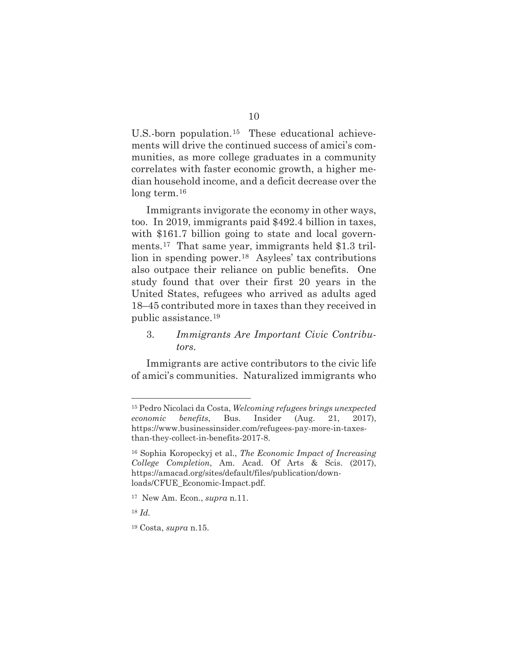U.S.-born population.15 These educational achievements will drive the continued success of amici's communities, as more college graduates in a community correlates with faster economic growth, a higher median household income, and a deficit decrease over the long term.<sup>16</sup>

Immigrants invigorate the economy in other ways, too. In 2019, immigrants paid \$492.4 billion in taxes, with \$161.7 billion going to state and local governments.17 That same year, immigrants held \$1.3 trillion in spending power.18 Asylees' tax contributions also outpace their reliance on public benefits. One study found that over their first 20 years in the United States, refugees who arrived as adults aged 18–45 contributed more in taxes than they received in public assistance.19

3. *Immigrants Are Important Civic Contributors.* 

Immigrants are active contributors to the civic life of amici's communities. Naturalized immigrants who

<sup>15</sup> Pedro Nicolaci da Costa, *Welcoming refugees brings unexpected economic benefits*, Bus. Insider (Aug. 21, 2017), https://www.businessinsider.com/refugees-pay-more-in-taxesthan-they-collect-in-benefits-2017-8.

<sup>16</sup> Sophia Koropeckyj et al., *The Economic Impact of Increasing College Completion*, Am. Acad. Of Arts & Scis. (2017), https://amacad.org/sites/default/files/publication/downloads/CFUE\_Economic-Impact.pdf.

<sup>17</sup> New Am. Econ., *supra* n.11.

<sup>18</sup> *Id.* 

<sup>19</sup> Costa, *supra* n.15.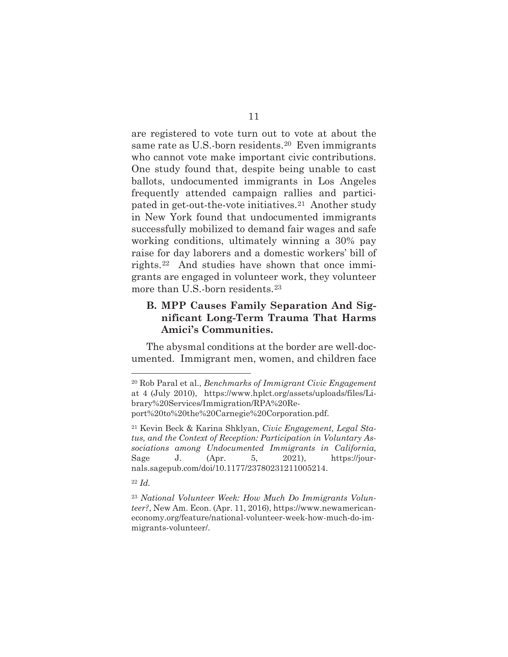are registered to vote turn out to vote at about the same rate as U.S.-born residents.<sup>20</sup> Even immigrants who cannot vote make important civic contributions. One study found that, despite being unable to cast ballots, undocumented immigrants in Los Angeles frequently attended campaign rallies and participated in get-out-the-vote initiatives.21 Another study in New York found that undocumented immigrants successfully mobilized to demand fair wages and safe working conditions, ultimately winning a 30% pay raise for day laborers and a domestic workers' bill of rights.22 And studies have shown that once immigrants are engaged in volunteer work, they volunteer more than U.S.-born residents.23

### **B. MPP Causes Family Separation And Significant Long-Term Trauma That Harms Amici's Communities.**

The abysmal conditions at the border are well-documented. Immigrant men, women, and children face

<sup>20</sup> Rob Paral et al., *Benchmarks of Immigrant Civic Engagement*  at 4 (July 2010), https://www.hplct.org/assets/uploads/files/Library%20Services/Immigration/RPA%20Report%20to%20the%20Carnegie%20Corporation.pdf.

<sup>21</sup> Kevin Beck & Karina Shklyan, *Civic Engagement, Legal Status, and the Context of Reception: Participation in Voluntary Associations among Undocumented Immigrants in California*, Sage J. (Apr. 5, 2021), https://journals.sagepub.com/doi/10.1177/23780231211005214.

<sup>22</sup> *Id.*

<sup>23</sup> *National Volunteer Week: How Much Do Immigrants Volunteer?*, New Am. Econ. (Apr. 11, 2016), https://www.newamericaneconomy.org/feature/national-volunteer-week-how-much-do-immigrants-volunteer/.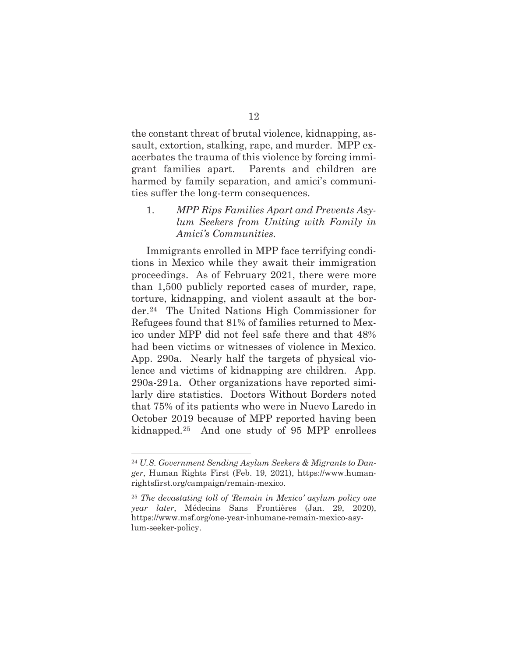the constant threat of brutal violence, kidnapping, assault, extortion, stalking, rape, and murder. MPP exacerbates the trauma of this violence by forcing immigrant families apart. Parents and children are harmed by family separation, and amici's communities suffer the long-term consequences.

1. *MPP Rips Families Apart and Prevents Asylum Seekers from Uniting with Family in Amici's Communities.* 

Immigrants enrolled in MPP face terrifying conditions in Mexico while they await their immigration proceedings. As of February 2021, there were more than 1,500 publicly reported cases of murder, rape, torture, kidnapping, and violent assault at the border.24 The United Nations High Commissioner for Refugees found that 81% of families returned to Mexico under MPP did not feel safe there and that 48% had been victims or witnesses of violence in Mexico. App. 290a. Nearly half the targets of physical violence and victims of kidnapping are children. App. 290a-291a. Other organizations have reported similarly dire statistics. Doctors Without Borders noted that 75% of its patients who were in Nuevo Laredo in October 2019 because of MPP reported having been kidnapped.25 And one study of 95 MPP enrollees

<sup>24</sup> *U.S. Government Sending Asylum Seekers & Migrants to Danger*, Human Rights First (Feb. 19, 2021), https://www.humanrightsfirst.org/campaign/remain-mexico.

<sup>25</sup> *The devastating toll of 'Remain in Mexico' asylum policy one year later*, Médecins Sans Frontières (Jan. 29, 2020), https://www.msf.org/one-year-inhumane-remain-mexico-asylum-seeker-policy.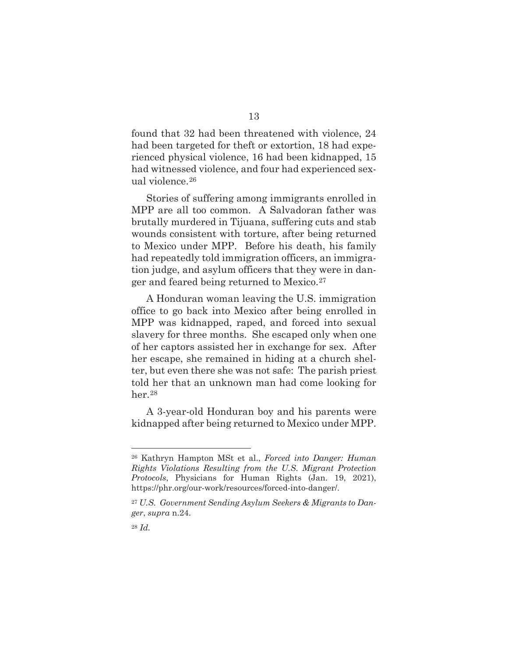found that 32 had been threatened with violence, 24 had been targeted for theft or extortion, 18 had experienced physical violence, 16 had been kidnapped, 15 had witnessed violence, and four had experienced sexual violence.26

Stories of suffering among immigrants enrolled in MPP are all too common. A Salvadoran father was brutally murdered in Tijuana, suffering cuts and stab wounds consistent with torture, after being returned to Mexico under MPP. Before his death, his family had repeatedly told immigration officers, an immigration judge, and asylum officers that they were in danger and feared being returned to Mexico.27

A Honduran woman leaving the U.S. immigration office to go back into Mexico after being enrolled in MPP was kidnapped, raped, and forced into sexual slavery for three months. She escaped only when one of her captors assisted her in exchange for sex. After her escape, she remained in hiding at a church shelter, but even there she was not safe: The parish priest told her that an unknown man had come looking for her.28

A 3-year-old Honduran boy and his parents were kidnapped after being returned to Mexico under MPP.

<sup>26</sup> Kathryn Hampton MSt et al., *Forced into Danger: Human Rights Violations Resulting from the U.S. Migrant Protection Protocols*, Physicians for Human Rights (Jan. 19, 2021), https://phr.org/our-work/resources/forced-into-danger/.

<sup>27</sup> *U.S. Government Sending Asylum Seekers & Migrants to Danger*, *supra* n.24.

<sup>28</sup> *Id.*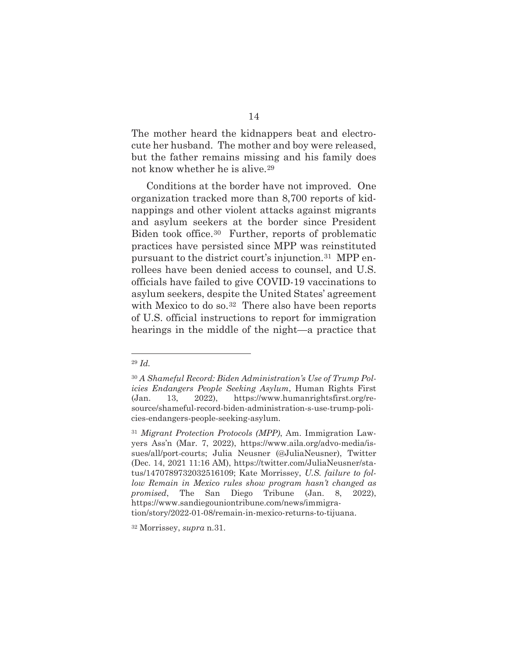The mother heard the kidnappers beat and electrocute her husband. The mother and boy were released, but the father remains missing and his family does not know whether he is alive.29

Conditions at the border have not improved. One organization tracked more than 8,700 reports of kidnappings and other violent attacks against migrants and asylum seekers at the border since President Biden took office.30 Further, reports of problematic practices have persisted since MPP was reinstituted pursuant to the district court's injunction.31 MPP enrollees have been denied access to counsel, and U.S. officials have failed to give COVID-19 vaccinations to asylum seekers, despite the United States' agreement with Mexico to do so.<sup>32</sup> There also have been reports of U.S. official instructions to report for immigration hearings in the middle of the night—a practice that

<sup>29</sup> *Id.* 

<sup>30</sup> *A Shameful Record: Biden Administration's Use of Trump Policies Endangers People Seeking Asylum*, Human Rights First (Jan. 13, 2022), https://www.humanrightsfirst.org/resource/shameful-record-biden-administration-s-use-trump-policies-endangers-people-seeking-asylum.

<sup>31</sup> *Migrant Protection Protocols (MPP)*, Am. Immigration Lawyers Ass'n (Mar. 7, 2022), https://www.aila.org/advo-media/issues/all/port-courts; Julia Neusner (@JuliaNeusner), Twitter (Dec. 14, 2021 11:16 AM), https://twitter.com/JuliaNeusner/status/1470789732032516109; Kate Morrissey, *U.S. failure to follow Remain in Mexico rules show program hasn't changed as promised*, The San Diego Tribune (Jan. 8, 2022), https://www.sandiegouniontribune.com/news/immigration/story/2022-01-08/remain-in-mexico-returns-to-tijuana.

<sup>32</sup> Morrissey, *supra* n.31.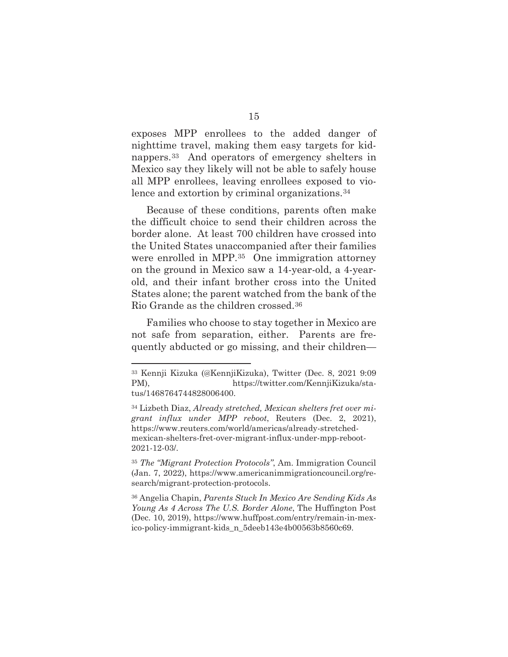exposes MPP enrollees to the added danger of nighttime travel, making them easy targets for kidnappers.33 And operators of emergency shelters in Mexico say they likely will not be able to safely house all MPP enrollees, leaving enrollees exposed to violence and extortion by criminal organizations.34

Because of these conditions, parents often make the difficult choice to send their children across the border alone. At least 700 children have crossed into the United States unaccompanied after their families were enrolled in MPP.35 One immigration attorney on the ground in Mexico saw a 14-year-old, a 4-yearold, and their infant brother cross into the United States alone; the parent watched from the bank of the Rio Grande as the children crossed.36

Families who choose to stay together in Mexico are not safe from separation, either. Parents are frequently abducted or go missing, and their children—

<sup>33</sup> Kennji Kizuka (@KennjiKizuka), Twitter (Dec. 8, 2021 9:09 PM), https://twitter.com/KennjiKizuka/status/1468764744828006400.

<sup>34</sup> Lizbeth Diaz, *Already stretched, Mexican shelters fret over migrant influx under MPP reboot*, Reuters (Dec. 2, 2021), https://www.reuters.com/world/americas/already-stretchedmexican-shelters-fret-over-migrant-influx-under-mpp-reboot-2021-12-03/.

<sup>35</sup> *The "Migrant Protection Protocols"*, Am. Immigration Council (Jan. 7, 2022), https://www.americanimmigrationcouncil.org/research/migrant-protection-protocols.

<sup>36</sup> Angelia Chapin, *Parents Stuck In Mexico Are Sending Kids As Young As 4 Across The U.S. Border Alone*, The Huffington Post (Dec. 10, 2019), https://www.huffpost.com/entry/remain-in-mexico-policy-immigrant-kids\_n\_5deeb143e4b00563b8560c69.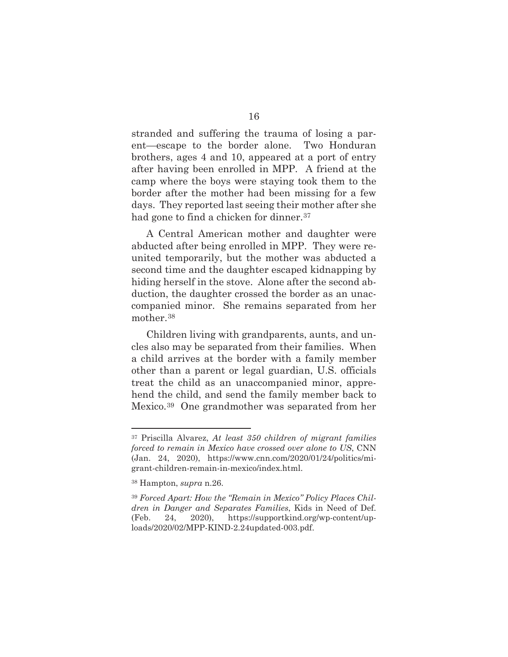stranded and suffering the trauma of losing a parent—escape to the border alone. Two Honduran brothers, ages 4 and 10, appeared at a port of entry after having been enrolled in MPP. A friend at the camp where the boys were staying took them to the border after the mother had been missing for a few days. They reported last seeing their mother after she had gone to find a chicken for dinner.<sup>37</sup>

A Central American mother and daughter were abducted after being enrolled in MPP. They were reunited temporarily, but the mother was abducted a second time and the daughter escaped kidnapping by hiding herself in the stove. Alone after the second abduction, the daughter crossed the border as an unaccompanied minor. She remains separated from her mother.38

Children living with grandparents, aunts, and uncles also may be separated from their families. When a child arrives at the border with a family member other than a parent or legal guardian, U.S. officials treat the child as an unaccompanied minor, apprehend the child, and send the family member back to Mexico.39 One grandmother was separated from her

<sup>37</sup> Priscilla Alvarez, *At least 350 children of migrant families forced to remain in Mexico have crossed over alone to US*, CNN (Jan. 24, 2020), https://www.cnn.com/2020/01/24/politics/migrant-children-remain-in-mexico/index.html.

<sup>38</sup> Hampton, *supra* n.26.

<sup>39</sup> *Forced Apart: How the "Remain in Mexico" Policy Places Children in Danger and Separates Families*, Kids in Need of Def. (Feb. 24, 2020), https://supportkind.org/wp-content/uploads/2020/02/MPP-KIND-2.24updated-003.pdf.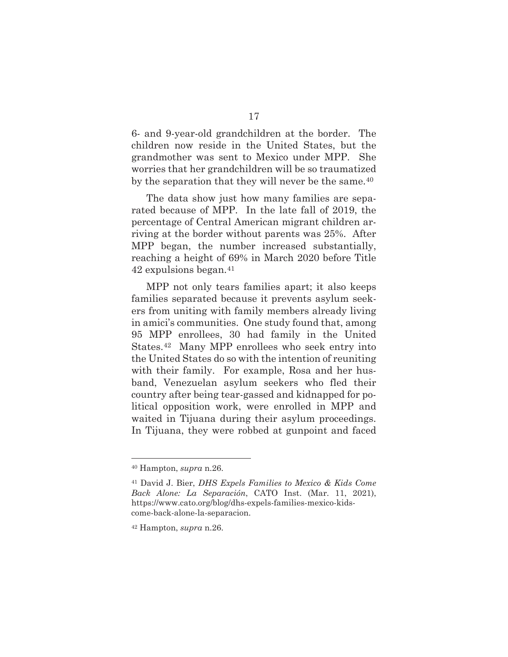6- and 9-year-old grandchildren at the border. The children now reside in the United States, but the grandmother was sent to Mexico under MPP. She worries that her grandchildren will be so traumatized by the separation that they will never be the same.<sup>40</sup>

The data show just how many families are separated because of MPP. In the late fall of 2019, the percentage of Central American migrant children arriving at the border without parents was 25%. After MPP began, the number increased substantially, reaching a height of 69% in March 2020 before Title 42 expulsions began.41

MPP not only tears families apart; it also keeps families separated because it prevents asylum seekers from uniting with family members already living in amici's communities. One study found that, among 95 MPP enrollees, 30 had family in the United States.42 Many MPP enrollees who seek entry into the United States do so with the intention of reuniting with their family. For example, Rosa and her husband, Venezuelan asylum seekers who fled their country after being tear-gassed and kidnapped for political opposition work, were enrolled in MPP and waited in Tijuana during their asylum proceedings. In Tijuana, they were robbed at gunpoint and faced

<sup>40</sup> Hampton, *supra* n.26.

<sup>41</sup> David J. Bier, *DHS Expels Families to Mexico & Kids Come Back Alone: La Separación*, CATO Inst. (Mar. 11, 2021), https://www.cato.org/blog/dhs-expels-families-mexico-kidscome-back-alone-la-separacion.

<sup>42</sup> Hampton, *supra* n.26.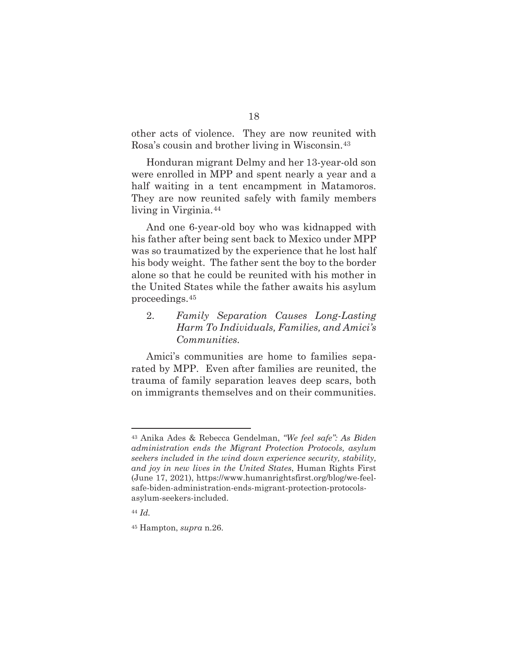other acts of violence. They are now reunited with Rosa's cousin and brother living in Wisconsin.43

Honduran migrant Delmy and her 13-year-old son were enrolled in MPP and spent nearly a year and a half waiting in a tent encampment in Matamoros. They are now reunited safely with family members living in Virginia.44

And one 6-year-old boy who was kidnapped with his father after being sent back to Mexico under MPP was so traumatized by the experience that he lost half his body weight. The father sent the boy to the border alone so that he could be reunited with his mother in the United States while the father awaits his asylum proceedings.45

2. *Family Separation Causes Long-Lasting Harm To Individuals, Families, and Amici's Communities.* 

Amici's communities are home to families separated by MPP. Even after families are reunited, the trauma of family separation leaves deep scars, both on immigrants themselves and on their communities.

<sup>43</sup> Anika Ades & Rebecca Gendelman, *"We feel safe": As Biden administration ends the Migrant Protection Protocols, asylum seekers included in the wind down experience security, stability, and joy in new lives in the United States*, Human Rights First (June 17, 2021), https://www.humanrightsfirst.org/blog/we-feelsafe-biden-administration-ends-migrant-protection-protocolsasylum-seekers-included.

<sup>44</sup> *Id.* 

<sup>45</sup> Hampton, *supra* n.26.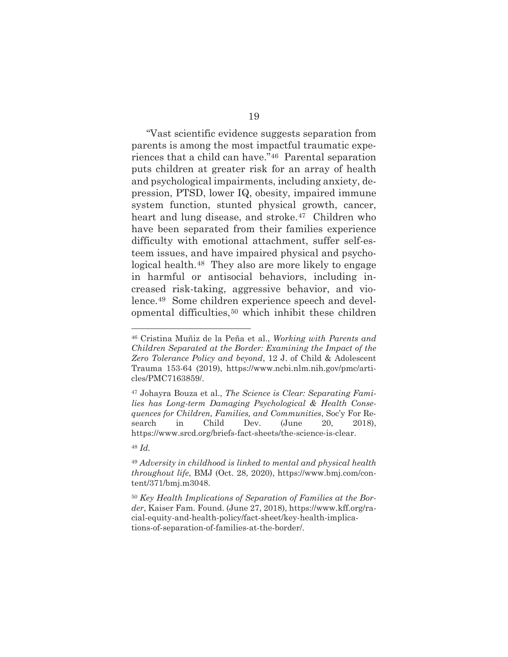"Vast scientific evidence suggests separation from parents is among the most impactful traumatic experiences that a child can have."46 Parental separation puts children at greater risk for an array of health and psychological impairments, including anxiety, depression, PTSD, lower IQ, obesity, impaired immune system function, stunted physical growth, cancer, heart and lung disease, and stroke.<sup>47</sup> Children who have been separated from their families experience difficulty with emotional attachment, suffer self-esteem issues, and have impaired physical and psychological health.48 They also are more likely to engage in harmful or antisocial behaviors, including increased risk-taking, aggressive behavior, and violence.49 Some children experience speech and developmental difficulties,50 which inhibit these children

<sup>48</sup> *Id.* 

<sup>46</sup> Cristina Muñiz de la Peña et al., *Working with Parents and Children Separated at the Border: Examining the Impact of the Zero Tolerance Policy and beyond*, 12 J. of Child & Adolescent Trauma 153-64 (2019), https://www.ncbi.nlm.nih.gov/pmc/articles/PMC7163859/.

<sup>47</sup> Johayra Bouza et al., *The Science is Clear: Separating Families has Long-term Damaging Psychological & Health Consequences for Children, Families, and Communities*, Soc'y For Research in Child Dev. (June 20, 2018), https://www.srcd.org/briefs-fact-sheets/the-science-is-clear.

<sup>49</sup> *Adversity in childhood is linked to mental and physical health throughout life*, BMJ (Oct. 28, 2020), https://www.bmj.com/content/371/bmj.m3048.

<sup>50</sup> *Key Health Implications of Separation of Families at the Border*, Kaiser Fam. Found. (June 27, 2018), https://www.kff.org/racial-equity-and-health-policy/fact-sheet/key-health-implications-of-separation-of-families-at-the-border/.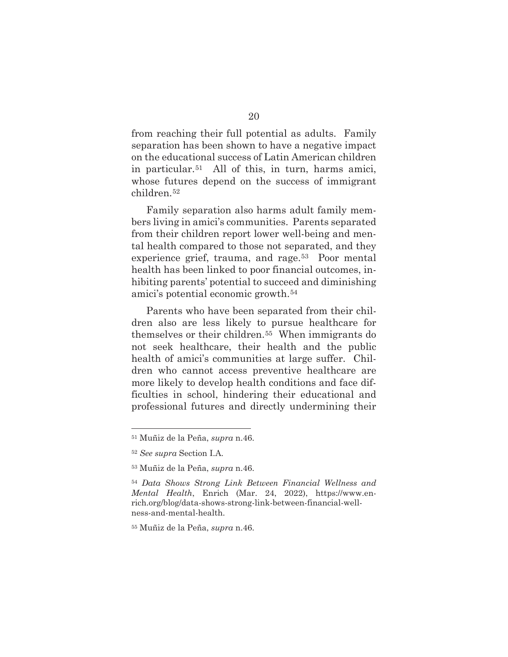from reaching their full potential as adults. Family separation has been shown to have a negative impact on the educational success of Latin American children in particular.51 All of this, in turn, harms amici, whose futures depend on the success of immigrant children.52

Family separation also harms adult family members living in amici's communities. Parents separated from their children report lower well-being and mental health compared to those not separated, and they experience grief, trauma, and rage.<sup>53</sup> Poor mental health has been linked to poor financial outcomes, inhibiting parents' potential to succeed and diminishing amici's potential economic growth.54

Parents who have been separated from their children also are less likely to pursue healthcare for themselves or their children.55 When immigrants do not seek healthcare, their health and the public health of amici's communities at large suffer. Children who cannot access preventive healthcare are more likely to develop health conditions and face difficulties in school, hindering their educational and professional futures and directly undermining their

<sup>51</sup> Muñiz de la Peña, *supra* n.46.

<sup>52</sup> *See supra* Section I.A.

<sup>53</sup> Muñiz de la Peña, *supra* n.46.

<sup>54</sup> *Data Shows Strong Link Between Financial Wellness and Mental Health*, Enrich (Mar. 24, 2022), https://www.enrich.org/blog/data-shows-strong-link-between-financial-wellness-and-mental-health.

<sup>55</sup> Muñiz de la Peña, *supra* n.46.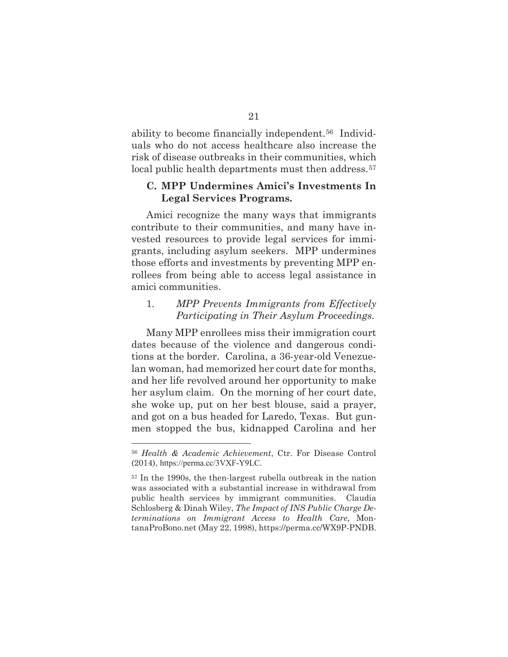ability to become financially independent.56 Individuals who do not access healthcare also increase the risk of disease outbreaks in their communities, which local public health departments must then address.<sup>57</sup>

### **C. MPP Undermines Amici's Investments In Legal Services Programs.**

Amici recognize the many ways that immigrants contribute to their communities, and many have invested resources to provide legal services for immigrants, including asylum seekers. MPP undermines those efforts and investments by preventing MPP enrollees from being able to access legal assistance in amici communities.

### 1. *MPP Prevents Immigrants from Effectively Participating in Their Asylum Proceedings.*

Many MPP enrollees miss their immigration court dates because of the violence and dangerous conditions at the border. Carolina, a 36-year-old Venezuelan woman, had memorized her court date for months, and her life revolved around her opportunity to make her asylum claim. On the morning of her court date, she woke up, put on her best blouse, said a prayer, and got on a bus headed for Laredo, Texas. But gunmen stopped the bus, kidnapped Carolina and her

<sup>56</sup> *Health & Academic Achievement*, Ctr. For Disease Control (2014), https://perma.cc/3VXF-Y9LC.

<sup>57</sup> In the 1990s, the then-largest rubella outbreak in the nation was associated with a substantial increase in withdrawal from public health services by immigrant communities. Claudia Schlosberg & Dinah Wiley, *The Impact of INS Public Charge Determinations on Immigrant Access to Health Care*, MontanaProBono.net (May 22, 1998), https://perma.cc/WX9P-PNDB.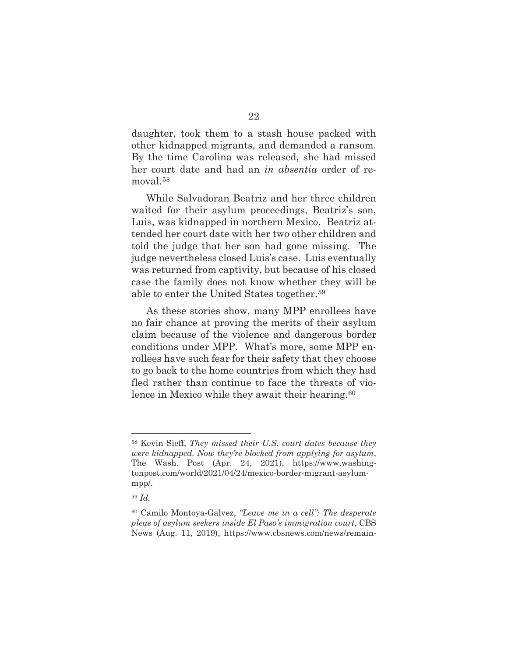daughter, took them to a stash house packed with other kidnapped migrants, and demanded a ransom. By the time Carolina was released, she had missed her court date and had an *in absentia* order of removal.58

While Salvadoran Beatriz and her three children waited for their asylum proceedings, Beatriz's son, Luis, was kidnapped in northern Mexico. Beatriz attended her court date with her two other children and told the judge that her son had gone missing. The judge nevertheless closed Luis's case. Luis eventually was returned from captivity, but because of his closed case the family does not know whether they will be able to enter the United States together.59

As these stories show, many MPP enrollees have no fair chance at proving the merits of their asylum claim because of the violence and dangerous border conditions under MPP. What's more, some MPP enrollees have such fear for their safety that they choose to go back to the home countries from which they had fled rather than continue to face the threats of violence in Mexico while they await their hearing.<sup>60</sup>

<sup>58</sup> Kevin Sieff, *They missed their U.S. court dates because they were kidnapped. Now they're blocked from applying for asylum*, The Wash. Post (Apr. 24, 2021), https://www.washingtonpost.com/world/2021/04/24/mexico-border-migrant-asylummpp/.

<sup>59</sup> *Id.* 

<sup>60</sup> Camilo Montoya-Galvez, *"Leave me in a cell": The desperate pleas of asylum seekers inside El Paso's immigration court*, CBS News (Aug. 11, 2019), https://www.cbsnews.com/news/remain-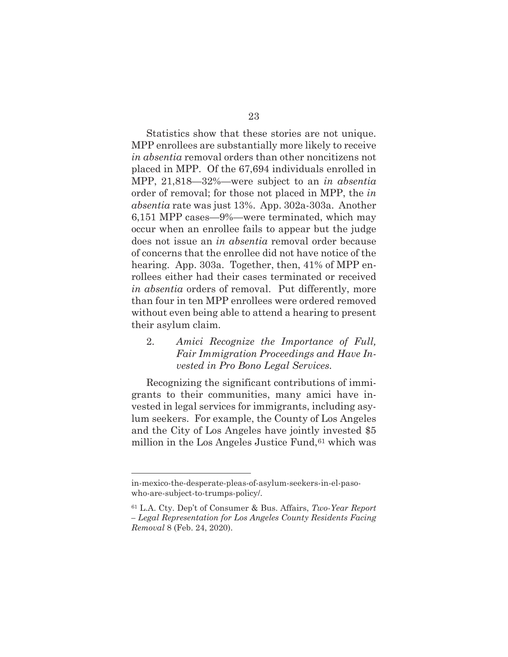Statistics show that these stories are not unique. MPP enrollees are substantially more likely to receive *in absentia* removal orders than other noncitizens not placed in MPP. Of the 67,694 individuals enrolled in MPP, 21,818—32%—were subject to an *in absentia* order of removal; for those not placed in MPP, the *in absentia* rate was just 13%. App. 302a-303a. Another 6,151 MPP cases—9%—were terminated, which may occur when an enrollee fails to appear but the judge does not issue an *in absentia* removal order because of concerns that the enrollee did not have notice of the hearing. App. 303a. Together, then, 41% of MPP enrollees either had their cases terminated or received *in absentia* orders of removal. Put differently, more than four in ten MPP enrollees were ordered removed without even being able to attend a hearing to present their asylum claim.

### 2. *Amici Recognize the Importance of Full, Fair Immigration Proceedings and Have Invested in Pro Bono Legal Services.*

Recognizing the significant contributions of immigrants to their communities, many amici have invested in legal services for immigrants, including asylum seekers. For example, the County of Los Angeles and the City of Los Angeles have jointly invested \$5 million in the Los Angeles Justice Fund,  $61$  which was

in-mexico-the-desperate-pleas-of-asylum-seekers-in-el-pasowho-are-subject-to-trumps-policy/.

<sup>61</sup> L.A. Cty. Dep't of Consumer & Bus. Affairs, *Two-Year Report – Legal Representation for Los Angeles County Residents Facing Removal* 8 (Feb. 24, 2020).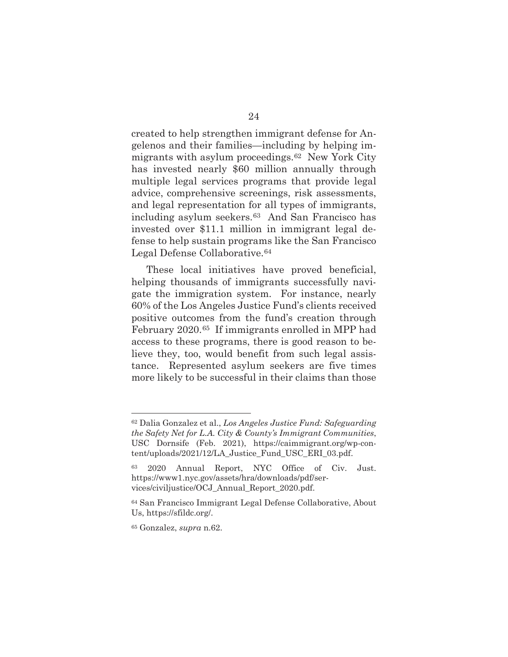created to help strengthen immigrant defense for Angelenos and their families—including by helping immigrants with asylum proceedings.62 New York City has invested nearly \$60 million annually through multiple legal services programs that provide legal advice, comprehensive screenings, risk assessments, and legal representation for all types of immigrants, including asylum seekers.63 And San Francisco has invested over \$11.1 million in immigrant legal defense to help sustain programs like the San Francisco Legal Defense Collaborative.<sup>64</sup>

These local initiatives have proved beneficial, helping thousands of immigrants successfully navigate the immigration system. For instance, nearly 60% of the Los Angeles Justice Fund's clients received positive outcomes from the fund's creation through February 2020.65 If immigrants enrolled in MPP had access to these programs, there is good reason to believe they, too, would benefit from such legal assistance. Represented asylum seekers are five times more likely to be successful in their claims than those

<sup>62</sup> Dalia Gonzalez et al., *Los Angeles Justice Fund: Safeguarding the Safety Net for L.A. City & County's Immigrant Communities*, USC Dornsife (Feb. 2021), https://caimmigrant.org/wp-content/uploads/2021/12/LA\_Justice\_Fund\_USC\_ERI\_03.pdf.

<sup>63 2020</sup> Annual Report, NYC Office of Civ. Just. https://www1.nyc.gov/assets/hra/downloads/pdf/services/civiljustice/OCJ\_Annual\_Report\_2020.pdf.

<sup>64</sup> San Francisco Immigrant Legal Defense Collaborative, About Us, https://sfildc.org/.

<sup>65</sup> Gonzalez, *supra* n.62.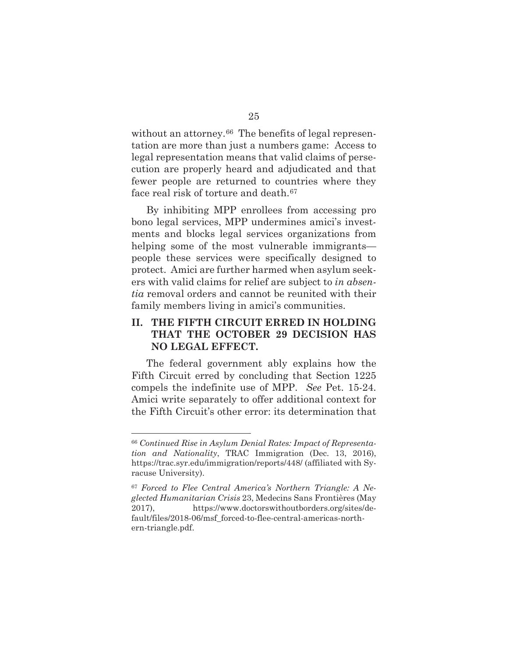without an attorney.<sup>66</sup> The benefits of legal representation are more than just a numbers game: Access to legal representation means that valid claims of persecution are properly heard and adjudicated and that fewer people are returned to countries where they face real risk of torture and death.<sup>67</sup>

By inhibiting MPP enrollees from accessing pro bono legal services, MPP undermines amici's investments and blocks legal services organizations from helping some of the most vulnerable immigrants people these services were specifically designed to protect. Amici are further harmed when asylum seekers with valid claims for relief are subject to *in absentia* removal orders and cannot be reunited with their family members living in amici's communities.

### **II. THE FIFTH CIRCUIT ERRED IN HOLDING THAT THE OCTOBER 29 DECISION HAS NO LEGAL EFFECT.**

The federal government ably explains how the Fifth Circuit erred by concluding that Section 1225 compels the indefinite use of MPP. *See* Pet. 15-24. Amici write separately to offer additional context for the Fifth Circuit's other error: its determination that

<sup>66</sup> *Continued Rise in Asylum Denial Rates: Impact of Representation and Nationality*, TRAC Immigration (Dec. 13, 2016), https://trac.syr.edu/immigration/reports/448/ (affiliated with Syracuse University).

<sup>67</sup> *Forced to Flee Central America's Northern Triangle: A Neglected Humanitarian Crisis* 23, Medecins Sans Frontières (May 2017), https://www.doctorswithoutborders.org/sites/default/files/2018-06/msf\_forced-to-flee-central-americas-northern-triangle.pdf.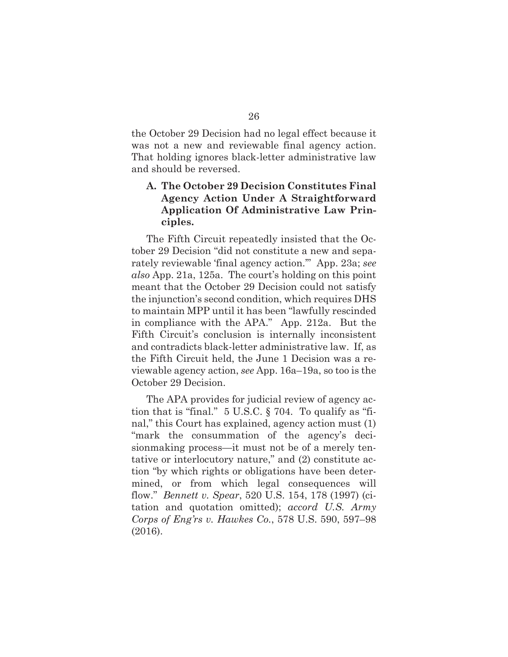the October 29 Decision had no legal effect because it was not a new and reviewable final agency action. That holding ignores black-letter administrative law and should be reversed.

### **A. The October 29 Decision Constitutes Final Agency Action Under A Straightforward Application Of Administrative Law Principles.**

The Fifth Circuit repeatedly insisted that the October 29 Decision "did not constitute a new and separately reviewable 'final agency action.'" App. 23a; *see also* App. 21a, 125a. The court's holding on this point meant that the October 29 Decision could not satisfy the injunction's second condition, which requires DHS to maintain MPP until it has been "lawfully rescinded in compliance with the APA." App. 212a. But the Fifth Circuit's conclusion is internally inconsistent and contradicts black-letter administrative law. If, as the Fifth Circuit held, the June 1 Decision was a reviewable agency action, *see* App. 16a–19a, so too is the October 29 Decision.

The APA provides for judicial review of agency action that is "final." 5 U.S.C. § 704. To qualify as "final," this Court has explained, agency action must (1) "mark the consummation of the agency's decisionmaking process—it must not be of a merely tentative or interlocutory nature," and (2) constitute action "by which rights or obligations have been determined, or from which legal consequences will flow." *Bennett v. Spear*, 520 U.S. 154, 178 (1997) (citation and quotation omitted); *accord U.S. Army Corps of Eng'rs v. Hawkes Co.*, 578 U.S. 590, 597–98 (2016).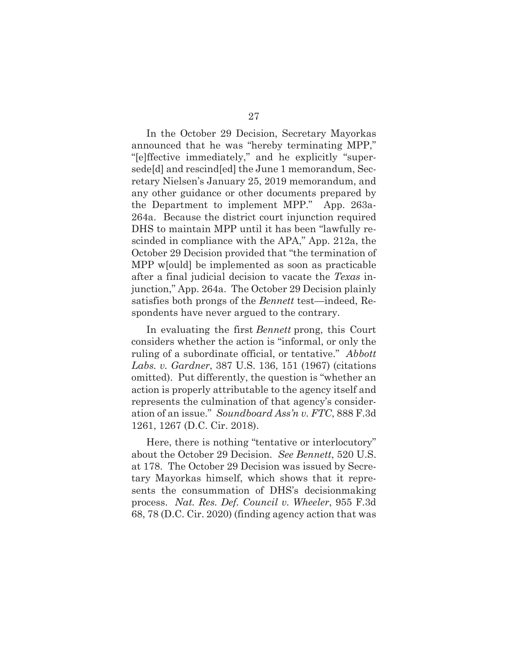In the October 29 Decision, Secretary Mayorkas announced that he was "hereby terminating MPP," "[e]ffective immediately," and he explicitly "supersede[d] and rescind[ed] the June 1 memorandum, Secretary Nielsen's January 25, 2019 memorandum, and any other guidance or other documents prepared by the Department to implement MPP." App. 263a-264a. Because the district court injunction required DHS to maintain MPP until it has been "lawfully rescinded in compliance with the APA," App. 212a, the October 29 Decision provided that "the termination of MPP w[ould] be implemented as soon as practicable after a final judicial decision to vacate the *Texas* injunction," App. 264a. The October 29 Decision plainly satisfies both prongs of the *Bennett* test—indeed, Respondents have never argued to the contrary.

In evaluating the first *Bennett* prong, this Court considers whether the action is "informal, or only the ruling of a subordinate official, or tentative." *Abbott Labs. v. Gardner*, 387 U.S. 136, 151 (1967) (citations omitted). Put differently, the question is "whether an action is properly attributable to the agency itself and represents the culmination of that agency's consideration of an issue." *Soundboard Ass'n v. FTC*, 888 F.3d 1261, 1267 (D.C. Cir. 2018).

Here, there is nothing "tentative or interlocutory" about the October 29 Decision. *See Bennett*, 520 U.S. at 178. The October 29 Decision was issued by Secretary Mayorkas himself, which shows that it represents the consummation of DHS's decisionmaking process. *Nat. Res. Def. Council v. Wheeler*, 955 F.3d 68, 78 (D.C. Cir. 2020) (finding agency action that was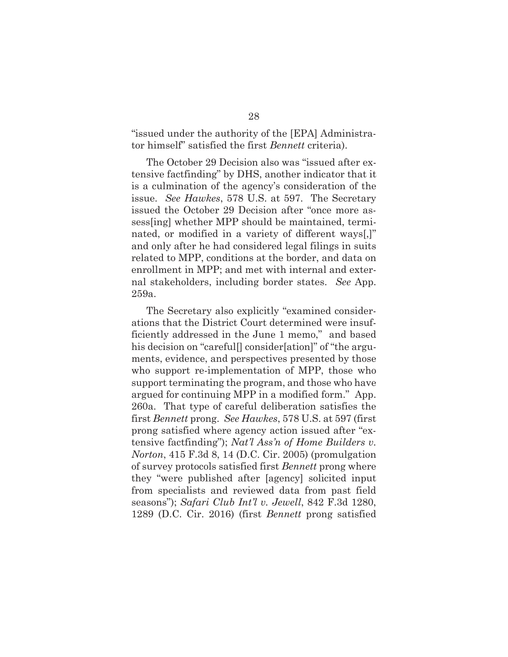"issued under the authority of the [EPA] Administrator himself" satisfied the first *Bennett* criteria).

The October 29 Decision also was "issued after extensive factfinding" by DHS, another indicator that it is a culmination of the agency's consideration of the issue. *See Hawkes*, 578 U.S. at 597. The Secretary issued the October 29 Decision after "once more assess[ing] whether MPP should be maintained, terminated, or modified in a variety of different ways[,]" and only after he had considered legal filings in suits related to MPP, conditions at the border, and data on enrollment in MPP; and met with internal and external stakeholders, including border states. *See* App. 259a.

The Secretary also explicitly "examined considerations that the District Court determined were insufficiently addressed in the June 1 memo," and based his decision on "careful<sup>[]</sup> consider[ation]" of "the arguments, evidence, and perspectives presented by those who support re-implementation of MPP, those who support terminating the program, and those who have argued for continuing MPP in a modified form." App. 260a. That type of careful deliberation satisfies the first *Bennett* prong. *See Hawkes*, 578 U.S. at 597 (first prong satisfied where agency action issued after "extensive factfinding"); *Nat'l Ass'n of Home Builders v. Norton*, 415 F.3d 8, 14 (D.C. Cir. 2005) (promulgation of survey protocols satisfied first *Bennett* prong where they "were published after [agency] solicited input from specialists and reviewed data from past field seasons"); *Safari Club Int'l v. Jewell*, 842 F.3d 1280, 1289 (D.C. Cir. 2016) (first *Bennett* prong satisfied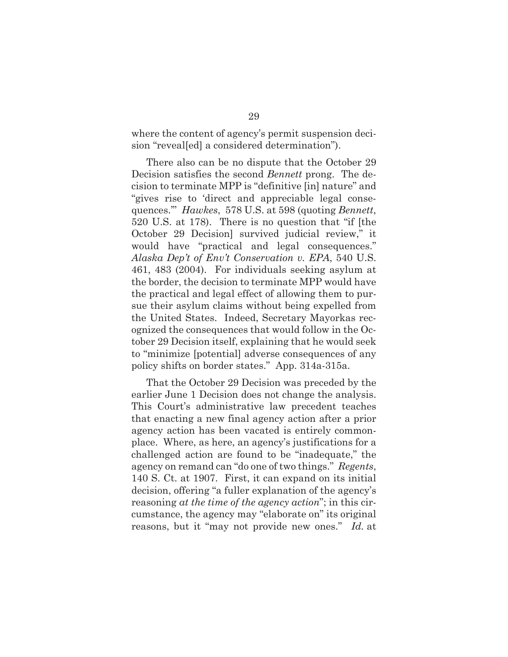where the content of agency's permit suspension decision "reveal[ed] a considered determination").

There also can be no dispute that the October 29 Decision satisfies the second *Bennett* prong. The decision to terminate MPP is "definitive [in] nature" and "gives rise to 'direct and appreciable legal consequences.'" *Hawkes*, 578 U.S. at 598 (quoting *Bennett*, 520 U.S. at 178). There is no question that "if [the October 29 Decision] survived judicial review," it would have "practical and legal consequences." *Alaska Dep't of Env't Conservation v. EPA*, 540 U.S. 461, 483 (2004). For individuals seeking asylum at the border, the decision to terminate MPP would have the practical and legal effect of allowing them to pursue their asylum claims without being expelled from the United States. Indeed, Secretary Mayorkas recognized the consequences that would follow in the October 29 Decision itself, explaining that he would seek to "minimize [potential] adverse consequences of any policy shifts on border states." App. 314a-315a.

That the October 29 Decision was preceded by the earlier June 1 Decision does not change the analysis. This Court's administrative law precedent teaches that enacting a new final agency action after a prior agency action has been vacated is entirely commonplace. Where, as here, an agency's justifications for a challenged action are found to be "inadequate," the agency on remand can "do one of two things." *Regents*, 140 S. Ct. at 1907. First, it can expand on its initial decision, offering "a fuller explanation of the agency's reasoning *at the time of the agency action*"; in this circumstance, the agency may "elaborate on" its original reasons, but it "may not provide new ones." *Id.* at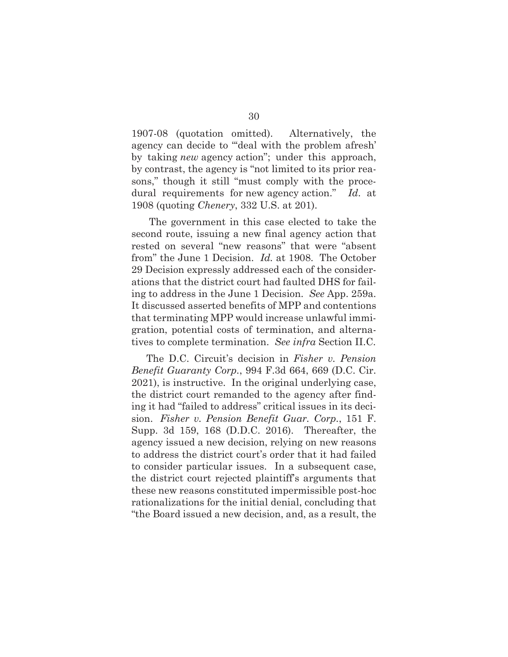1907-08 (quotation omitted). Alternatively, the agency can decide to "'deal with the problem afresh' by taking *new* agency action"; under this approach, by contrast, the agency is "not limited to its prior reasons," though it still "must comply with the procedural requirements for new agency action." *Id*. at 1908 (quoting *Chenery*, 332 U.S. at 201).

 The government in this case elected to take the second route, issuing a new final agency action that rested on several "new reasons" that were "absent from" the June 1 Decision. *Id.* at 1908. The October 29 Decision expressly addressed each of the considerations that the district court had faulted DHS for failing to address in the June 1 Decision. *See* App. 259a. It discussed asserted benefits of MPP and contentions that terminating MPP would increase unlawful immigration, potential costs of termination, and alternatives to complete termination. *See infra* Section II.C.

The D.C. Circuit's decision in *Fisher v. Pension Benefit Guaranty Corp.*, 994 F.3d 664, 669 (D.C. Cir. 2021), is instructive. In the original underlying case, the district court remanded to the agency after finding it had "failed to address" critical issues in its decision. *Fisher v. Pension Benefit Guar. Corp.*, 151 F. Supp. 3d 159, 168 (D.D.C. 2016). Thereafter, the agency issued a new decision, relying on new reasons to address the district court's order that it had failed to consider particular issues. In a subsequent case, the district court rejected plaintiff's arguments that these new reasons constituted impermissible post-hoc rationalizations for the initial denial, concluding that "the Board issued a new decision, and, as a result, the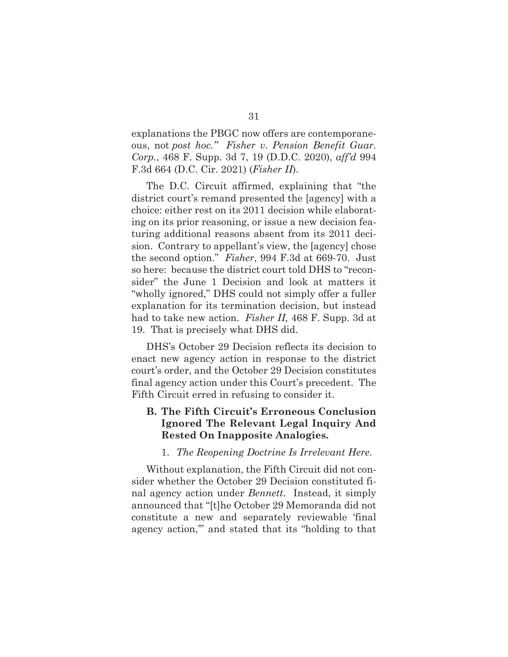explanations the PBGC now offers are contemporaneous, not *post hoc." Fisher v. Pension Benefit Guar. Corp.*, 468 F. Supp. 3d 7, 19 (D.D.C. 2020), *aff'd* 994 F.3d 664 (D.C. Cir. 2021) (*Fisher II*).

The D.C. Circuit affirmed, explaining that "the district court's remand presented the [agency] with a choice: either rest on its 2011 decision while elaborating on its prior reasoning, or issue a new decision featuring additional reasons absent from its 2011 decision. Contrary to appellant's view, the [agency] chose the second option." *Fisher*, 994 F.3d at 669-70. Just so here: because the district court told DHS to "reconsider" the June 1 Decision and look at matters it "wholly ignored," DHS could not simply offer a fuller explanation for its termination decision, but instead had to take new action. *Fisher II,* 468 F. Supp. 3d at 19. That is precisely what DHS did.

DHS's October 29 Decision reflects its decision to enact new agency action in response to the district court's order, and the October 29 Decision constitutes final agency action under this Court's precedent. The Fifth Circuit erred in refusing to consider it.

### **B. The Fifth Circuit's Erroneous Conclusion Ignored The Relevant Legal Inquiry And Rested On Inapposite Analogies.**

#### 1. *The Reopening Doctrine Is Irrelevant Here.*

Without explanation, the Fifth Circuit did not consider whether the October 29 Decision constituted final agency action under *Bennett*. Instead, it simply announced that "[t]he October 29 Memoranda did not constitute a new and separately reviewable 'final agency action,'" and stated that its "holding to that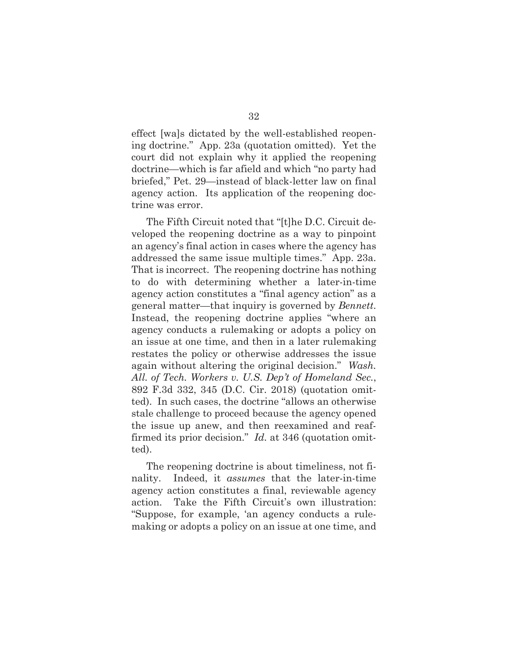effect [wa]s dictated by the well-established reopening doctrine." App. 23a (quotation omitted). Yet the court did not explain why it applied the reopening doctrine—which is far afield and which "no party had briefed," Pet. 29—instead of black-letter law on final agency action. Its application of the reopening doctrine was error.

The Fifth Circuit noted that "[t]he D.C. Circuit developed the reopening doctrine as a way to pinpoint an agency's final action in cases where the agency has addressed the same issue multiple times." App. 23a. That is incorrect. The reopening doctrine has nothing to do with determining whether a later-in-time agency action constitutes a "final agency action" as a general matter—that inquiry is governed by *Bennett*. Instead, the reopening doctrine applies "where an agency conducts a rulemaking or adopts a policy on an issue at one time, and then in a later rulemaking restates the policy or otherwise addresses the issue again without altering the original decision." *Wash. All. of Tech. Workers v. U.S. Dep't of Homeland Sec.*, 892 F.3d 332, 345 (D.C. Cir. 2018) (quotation omitted). In such cases, the doctrine "allows an otherwise stale challenge to proceed because the agency opened the issue up anew, and then reexamined and reaffirmed its prior decision." *Id.* at 346 (quotation omitted).

The reopening doctrine is about timeliness, not finality. Indeed, it *assumes* that the later-in-time agency action constitutes a final, reviewable agency action. Take the Fifth Circuit's own illustration: "Suppose, for example, 'an agency conducts a rulemaking or adopts a policy on an issue at one time, and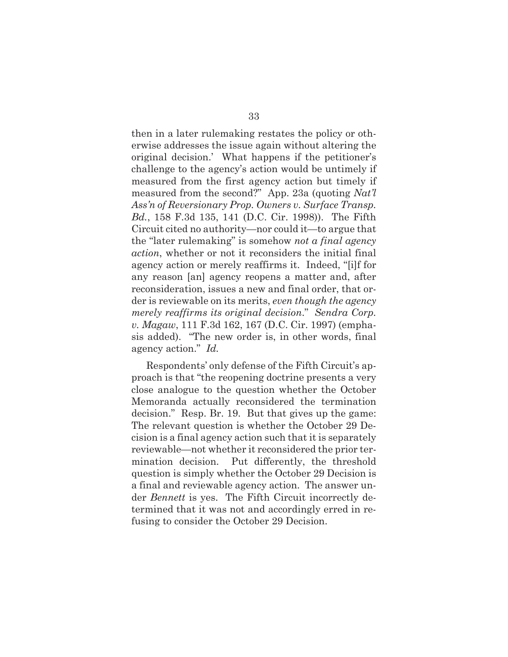then in a later rulemaking restates the policy or otherwise addresses the issue again without altering the original decision.' What happens if the petitioner's challenge to the agency's action would be untimely if measured from the first agency action but timely if measured from the second?" App. 23a (quoting *Nat'l Ass'n of Reversionary Prop. Owners v. Surface Transp. Bd.*, 158 F.3d 135, 141 (D.C. Cir. 1998)). The Fifth Circuit cited no authority—nor could it—to argue that the "later rulemaking" is somehow *not a final agency action*, whether or not it reconsiders the initial final agency action or merely reaffirms it. Indeed, "[i]f for any reason [an] agency reopens a matter and, after reconsideration, issues a new and final order, that order is reviewable on its merits, *even though the agency merely reaffirms its original decision*." *Sendra Corp. v. Magaw*, 111 F.3d 162, 167 (D.C. Cir. 1997) (emphasis added). "The new order is, in other words, final agency action." *Id.*

Respondents' only defense of the Fifth Circuit's approach is that "the reopening doctrine presents a very close analogue to the question whether the October Memoranda actually reconsidered the termination decision." Resp. Br. 19. But that gives up the game: The relevant question is whether the October 29 Decision is a final agency action such that it is separately reviewable—not whether it reconsidered the prior termination decision. Put differently, the threshold question is simply whether the October 29 Decision is a final and reviewable agency action. The answer under *Bennett* is yes. The Fifth Circuit incorrectly determined that it was not and accordingly erred in refusing to consider the October 29 Decision.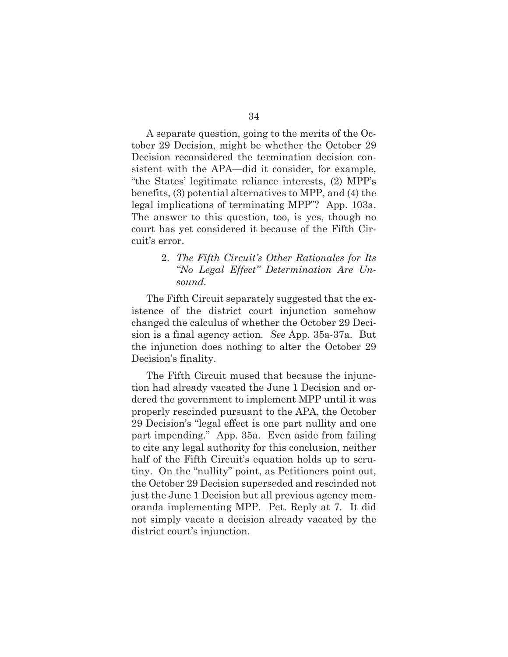A separate question, going to the merits of the October 29 Decision, might be whether the October 29 Decision reconsidered the termination decision consistent with the APA—did it consider, for example, "the States' legitimate reliance interests, (2) MPP's benefits, (3) potential alternatives to MPP, and (4) the legal implications of terminating MPP"? App. 103a. The answer to this question, too, is yes, though no court has yet considered it because of the Fifth Circuit's error.

### 2. *The Fifth Circuit's Other Rationales for Its "No Legal Effect" Determination Are Unsound.*

The Fifth Circuit separately suggested that the existence of the district court injunction somehow changed the calculus of whether the October 29 Decision is a final agency action. *See* App. 35a-37a. But the injunction does nothing to alter the October 29 Decision's finality.

The Fifth Circuit mused that because the injunction had already vacated the June 1 Decision and ordered the government to implement MPP until it was properly rescinded pursuant to the APA, the October 29 Decision's "legal effect is one part nullity and one part impending." App. 35a. Even aside from failing to cite any legal authority for this conclusion, neither half of the Fifth Circuit's equation holds up to scrutiny. On the "nullity" point, as Petitioners point out, the October 29 Decision superseded and rescinded not just the June 1 Decision but all previous agency memoranda implementing MPP. Pet. Reply at 7. It did not simply vacate a decision already vacated by the district court's injunction.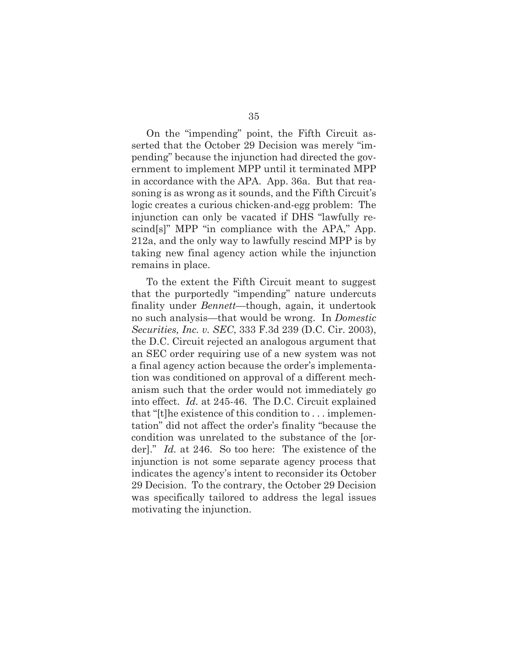On the "impending" point, the Fifth Circuit asserted that the October 29 Decision was merely "impending" because the injunction had directed the government to implement MPP until it terminated MPP in accordance with the APA. App. 36a. But that reasoning is as wrong as it sounds, and the Fifth Circuit's logic creates a curious chicken-and-egg problem: The injunction can only be vacated if DHS "lawfully rescind[s]" MPP "in compliance with the APA," App. 212a, and the only way to lawfully rescind MPP is by taking new final agency action while the injunction remains in place.

To the extent the Fifth Circuit meant to suggest that the purportedly "impending" nature undercuts finality under *Bennett*—though, again, it undertook no such analysis—that would be wrong. In *Domestic Securities, Inc. v. SEC*, 333 F.3d 239 (D.C. Cir. 2003), the D.C. Circuit rejected an analogous argument that an SEC order requiring use of a new system was not a final agency action because the order's implementation was conditioned on approval of a different mechanism such that the order would not immediately go into effect. *Id.* at 245-46. The D.C. Circuit explained that "[t]he existence of this condition to . . . implementation" did not affect the order's finality "because the condition was unrelated to the substance of the [order]." *Id.* at 246. So too here: The existence of the injunction is not some separate agency process that indicates the agency's intent to reconsider its October 29 Decision. To the contrary, the October 29 Decision was specifically tailored to address the legal issues motivating the injunction.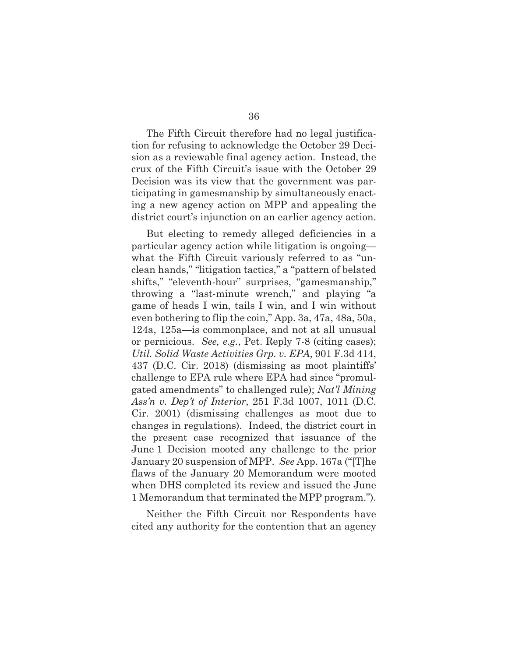The Fifth Circuit therefore had no legal justification for refusing to acknowledge the October 29 Decision as a reviewable final agency action. Instead, the crux of the Fifth Circuit's issue with the October 29 Decision was its view that the government was participating in gamesmanship by simultaneously enacting a new agency action on MPP and appealing the district court's injunction on an earlier agency action.

But electing to remedy alleged deficiencies in a particular agency action while litigation is ongoing what the Fifth Circuit variously referred to as "unclean hands," "litigation tactics," a "pattern of belated shifts," "eleventh-hour" surprises, "gamesmanship," throwing a "last-minute wrench," and playing "a game of heads I win, tails I win, and I win without even bothering to flip the coin," App. 3a, 47a, 48a, 50a, 124a, 125a—is commonplace, and not at all unusual or pernicious. *See, e.g.*, Pet. Reply 7-8 (citing cases); *Util. Solid Waste Activities Grp. v. EPA*, 901 F.3d 414, 437 (D.C. Cir. 2018) (dismissing as moot plaintiffs' challenge to EPA rule where EPA had since "promulgated amendments" to challenged rule); *Nat'l Mining Ass'n v. Dep't of Interior*, 251 F.3d 1007, 1011 (D.C. Cir. 2001) (dismissing challenges as moot due to changes in regulations). Indeed, the district court in the present case recognized that issuance of the June 1 Decision mooted any challenge to the prior January 20 suspension of MPP. *See* App. 167a ("[T]he flaws of the January 20 Memorandum were mooted when DHS completed its review and issued the June 1 Memorandum that terminated the MPP program.").

Neither the Fifth Circuit nor Respondents have cited any authority for the contention that an agency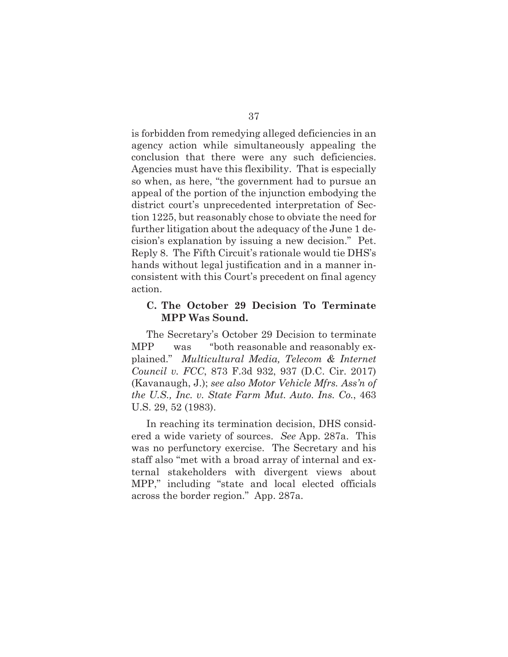is forbidden from remedying alleged deficiencies in an agency action while simultaneously appealing the conclusion that there were any such deficiencies. Agencies must have this flexibility. That is especially so when, as here, "the government had to pursue an appeal of the portion of the injunction embodying the district court's unprecedented interpretation of Section 1225, but reasonably chose to obviate the need for further litigation about the adequacy of the June 1 decision's explanation by issuing a new decision." Pet. Reply 8. The Fifth Circuit's rationale would tie DHS's hands without legal justification and in a manner inconsistent with this Court's precedent on final agency action.

#### **C. The October 29 Decision To Terminate MPP Was Sound.**

The Secretary's October 29 Decision to terminate MPP was "both reasonable and reasonably explained." *Multicultural Media, Telecom & Internet Council v. FCC*, 873 F.3d 932, 937 (D.C. Cir. 2017) (Kavanaugh, J.); *see also Motor Vehicle Mfrs. Ass'n of the U.S., Inc. v. State Farm Mut. Auto. Ins. Co.*, 463 U.S. 29, 52 (1983).

In reaching its termination decision, DHS considered a wide variety of sources. *See* App. 287a. This was no perfunctory exercise. The Secretary and his staff also "met with a broad array of internal and external stakeholders with divergent views about MPP," including "state and local elected officials across the border region." App. 287a.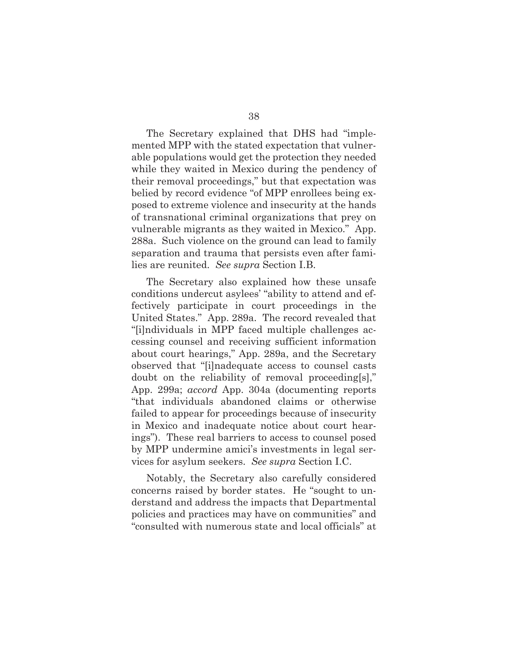The Secretary explained that DHS had "implemented MPP with the stated expectation that vulnerable populations would get the protection they needed while they waited in Mexico during the pendency of their removal proceedings," but that expectation was belied by record evidence "of MPP enrollees being exposed to extreme violence and insecurity at the hands of transnational criminal organizations that prey on vulnerable migrants as they waited in Mexico." App. 288a. Such violence on the ground can lead to family separation and trauma that persists even after families are reunited. *See supra* Section I.B.

The Secretary also explained how these unsafe conditions undercut asylees' "ability to attend and effectively participate in court proceedings in the United States." App. 289a. The record revealed that "[i]ndividuals in MPP faced multiple challenges accessing counsel and receiving sufficient information about court hearings," App. 289a, and the Secretary observed that "[i]nadequate access to counsel casts doubt on the reliability of removal proceeding[s]," App. 299a; *accord* App. 304a (documenting reports "that individuals abandoned claims or otherwise failed to appear for proceedings because of insecurity in Mexico and inadequate notice about court hearings"). These real barriers to access to counsel posed by MPP undermine amici's investments in legal services for asylum seekers. *See supra* Section I.C.

Notably, the Secretary also carefully considered concerns raised by border states. He "sought to understand and address the impacts that Departmental policies and practices may have on communities" and "consulted with numerous state and local officials" at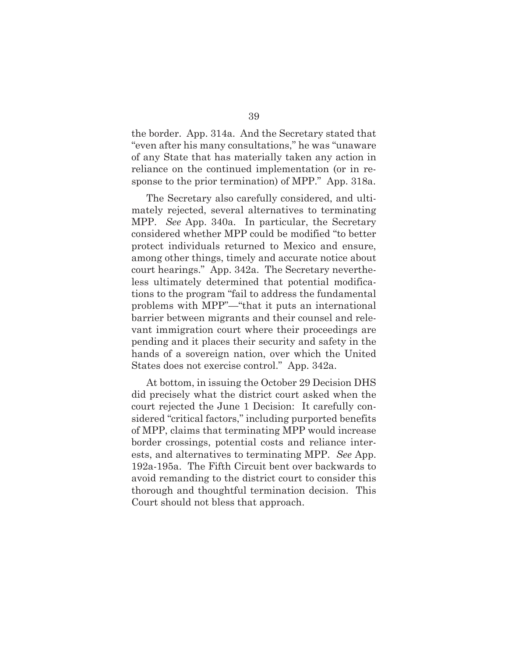the border. App. 314a. And the Secretary stated that "even after his many consultations," he was "unaware of any State that has materially taken any action in reliance on the continued implementation (or in response to the prior termination) of MPP." App. 318a.

The Secretary also carefully considered, and ultimately rejected, several alternatives to terminating MPP. *See* App. 340a. In particular, the Secretary considered whether MPP could be modified "to better protect individuals returned to Mexico and ensure, among other things, timely and accurate notice about court hearings." App. 342a. The Secretary nevertheless ultimately determined that potential modifications to the program "fail to address the fundamental problems with MPP"—"that it puts an international barrier between migrants and their counsel and relevant immigration court where their proceedings are pending and it places their security and safety in the hands of a sovereign nation, over which the United States does not exercise control." App. 342a.

At bottom, in issuing the October 29 Decision DHS did precisely what the district court asked when the court rejected the June 1 Decision: It carefully considered "critical factors," including purported benefits of MPP, claims that terminating MPP would increase border crossings, potential costs and reliance interests, and alternatives to terminating MPP. *See* App. 192a-195a. The Fifth Circuit bent over backwards to avoid remanding to the district court to consider this thorough and thoughtful termination decision. This Court should not bless that approach.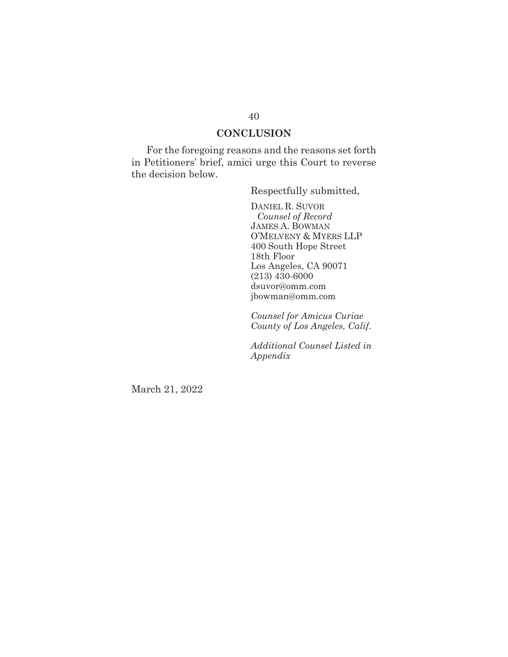### **CONCLUSION**

For the foregoing reasons and the reasons set forth in Petitioners' brief, amici urge this Court to reverse the decision below.

Respectfully submitted,

 DANIEL R. SUVOR *Counsel of Record*  JAMES A. BOWMAN O'MELVENY & MYERS LLP 400 South Hope Street 18th Floor Los Angeles, CA 90071 (213) 430-6000 dsuvor@omm.com jbowman@omm.com

*Counsel for Amicus Curiae County of Los Angeles, Calif.* 

*Additional Counsel Listed in Appendix* 

March 21, 2022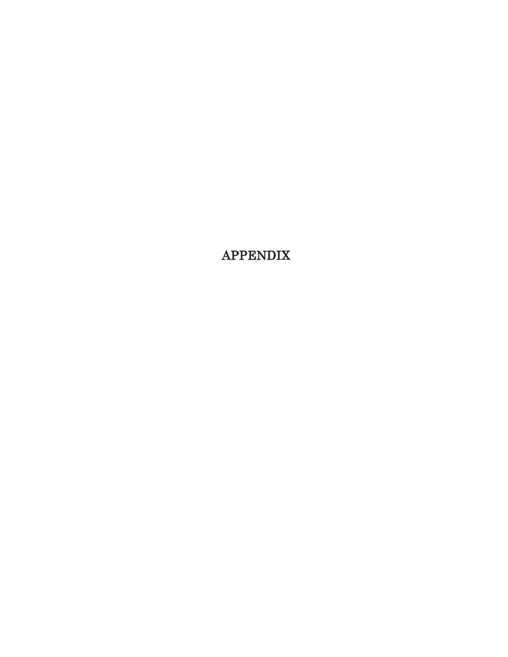**APPENDIX**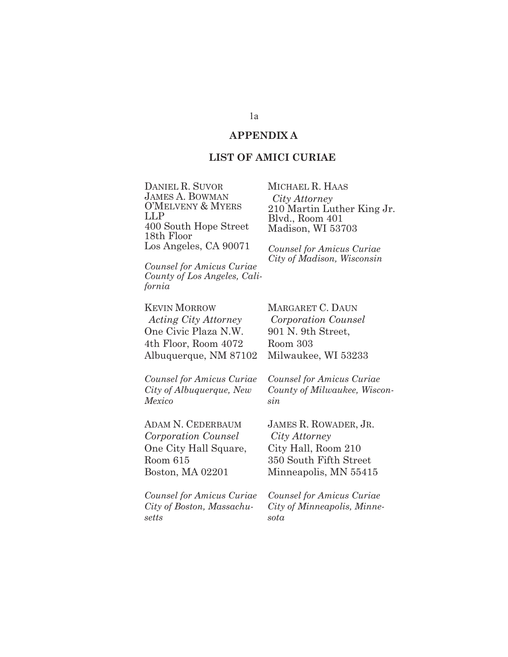#### **APPENDIX A**

#### **LIST OF AMICI CURIAE**

DANIEL R. SUVOR JAMES A. BOWMAN O'MELVENY & MYERS LLP 400 South Hope Street 18th Floor Los Angeles, CA 90071

*Counsel for Amicus Curiae County of Los Angeles, California* 

KEVIN MORROW *Acting City Attorney*  One Civic Plaza N.W. 4th Floor, Room 4072 Albuquerque, NM 87102

*Counsel for Amicus Curiae City of Albuquerque, New Mexico* 

ADAM N. CEDERBAUM *Corporation Counsel* One City Hall Square, Room 615 Boston, MA 02201

*Counsel for Amicus Curiae City of Boston, Massachusetts* 

MICHAEL R. HAAS *City Attorney* 210 Martin Luther King Jr. Blvd., Room 401 Madison, WI 53703

*Counsel for Amicus Curiae City of Madison, Wisconsin* 

MARGARET C. DAUN *Corporation Counsel*  901 N. 9th Street, Room 303 Milwaukee, WI 53233

*Counsel for Amicus Curiae County of Milwaukee, Wisconsin*

JAMES R. ROWADER, JR. *City Attorney*  City Hall, Room 210 350 South Fifth Street Minneapolis, MN 55415

*Counsel for Amicus Curiae City of Minneapolis, Minnesota*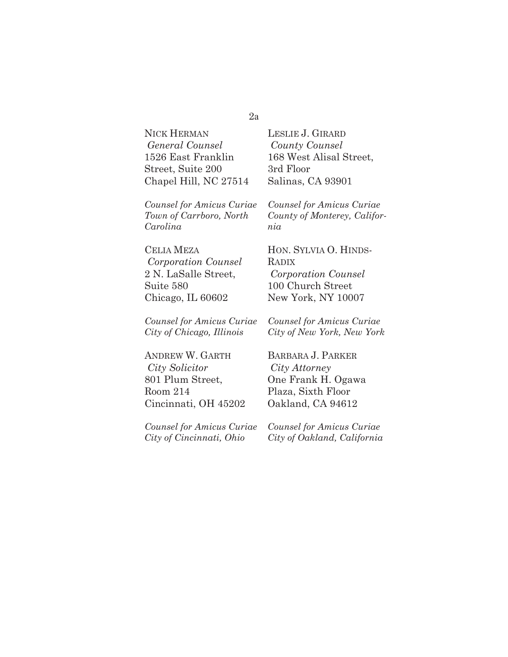#### 2a

NICK HERMAN *General Counsel*  1526 East Franklin Street, Suite 200 Chapel Hill, NC 27514

*Counsel for Amicus Curiae Town of Carrboro, North Carolina* 

CELIA MEZA *Corporation Counsel*  2 N. LaSalle Street, Suite 580 Chicago, IL 60602

*Counsel for Amicus Curiae City of Chicago, Illinois* 

ANDREW W. GARTH *City Solicitor*  801 Plum Street, Room 214 Cincinnati, OH 45202

*Counsel for Amicus Curiae City of Cincinnati, Ohio* 

LESLIE J. GIRARD *County Counsel*  168 West Alisal Street, 3rd Floor Salinas, CA 93901

*Counsel for Amicus Curiae County of Monterey, California* 

HON. SYLVIA O. HINDS-RADIX *Corporation Counsel*  100 Church Street New York, NY 10007

*Counsel for Amicus Curiae City of New York, New York*

BARBARA J. PARKER *City Attorney*  One Frank H. Ogawa Plaza, Sixth Floor Oakland, CA 94612

*Counsel for Amicus Curiae City of Oakland, California*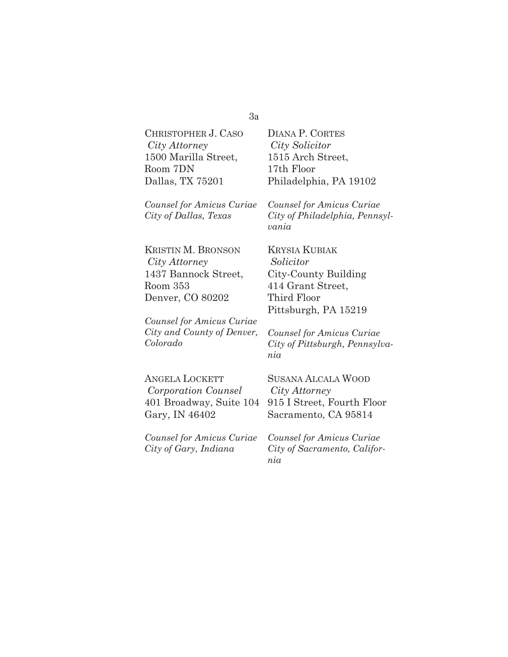#### 3a

CHRISTOPHER J. CASO *City Attorney*  1500 Marilla Street, Room 7DN Dallas, TX 75201

*Counsel for Amicus Curiae City of Dallas, Texas* 

DIANA P. CORTES *City Solicitor*  1515 Arch Street, 17th Floor Philadelphia, PA 19102

*Counsel for Amicus Curiae City of Philadelphia, Pennsylvania* 

KRISTIN M. BRONSON *City Attorney*  1437 Bannock Street, Room 353 Denver, CO 80202

*Counsel for Amicus Curiae City and County of Denver, Colorado* 

KRYSIA KUBIAK *Solicitor*  City-County Building 414 Grant Street, Third Floor Pittsburgh, PA 15219

*Counsel for Amicus Curiae City of Pittsburgh, Pennsylvania* 

| <b>ANGELA LOCKETT</b>     | <b>SUSANA ALCALA WOOD</b>    |
|---------------------------|------------------------------|
| Corporation Counsel       | City Attorney                |
| 401 Broadway, Suite 104   | 915 I Street, Fourth Floor   |
| Gary, IN 46402            | Sacramento, CA 95814         |
|                           |                              |
| Counsel for Amicus Curiae | Counsel for Amicus Curiae    |
| City of Gary, Indiana     | City of Sacramento, Califor- |

*City of Sacramento, California*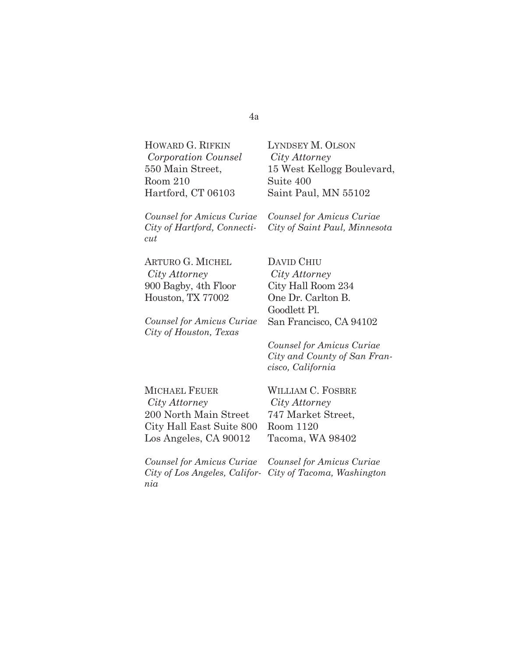HOWARD G. RIFKIN *Corporation Counsel*  550 Main Street, Room 210 Hartford, CT 06103

*Counsel for Amicus Curiae City of Hartford, Connecticut*

ARTURO G. MICHEL *City Attorney*  900 Bagby, 4th Floor Houston, TX 77002

*Counsel for Amicus Curiae City of Houston, Texas* 

LYNDSEY M. OLSON *City Attorney*  15 West Kellogg Boulevard, Suite 400 Saint Paul, MN 55102

*Counsel for Amicus Curiae City of Saint Paul, Minnesota* 

DAVID CHIU *City Attorney*  City Hall Room 234 One Dr. Carlton B. Goodlett Pl. San Francisco, CA 94102

*Counsel for Amicus Curiae City and County of San Francisco, California*

| MICHAEL FEUER            | <b>WILLIAM C. FOSBRE</b> |
|--------------------------|--------------------------|
| City Attorney            | City Attorney            |
| 200 North Main Street    | 747 Market Street,       |
| City Hall East Suite 800 | Room 1120                |
| Los Angeles, CA 90012    | Tacoma, WA 98402         |

*City Attorney*  rket Street, 120 a, WA 98402

*Counsel for Amicus Curiae City of Los Angeles, Califor-City of Tacoma, Washington nia Counsel for Amicus Curiae*